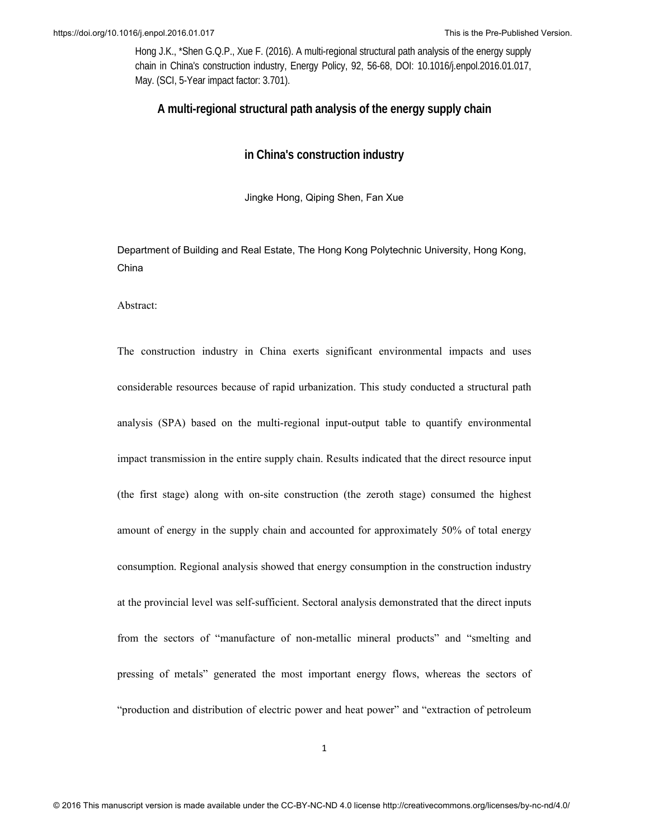## **A multi-regional structural path analysis of the energy supply chain**

## **in China's construction industry**

Jingke Hong, Qiping Shen, Fan Xue

Department of Building and Real Estate, The Hong Kong Polytechnic University, Hong Kong, China

Abstract:

The construction industry in China exerts significant environmental impacts and uses considerable resources because of rapid urbanization. This study conducted a structural path analysis (SPA) based on the multi-regional input-output table to quantify environmental impact transmission in the entire supply chain. Results indicated that the direct resource input (the first stage) along with on-site construction (the zeroth stage) consumed the highest amount of energy in the supply chain and accounted for approximately 50% of total energy consumption. Regional analysis showed that energy consumption in the construction industry at the provincial level was self-sufficient. Sectoral analysis demonstrated that the direct inputs from the sectors of "manufacture of non-metallic mineral products" and "smelting and pressing of metals" generated the most important energy flows, whereas the sectors of "production and distribution of electric power and heat power" and "extraction of petroleum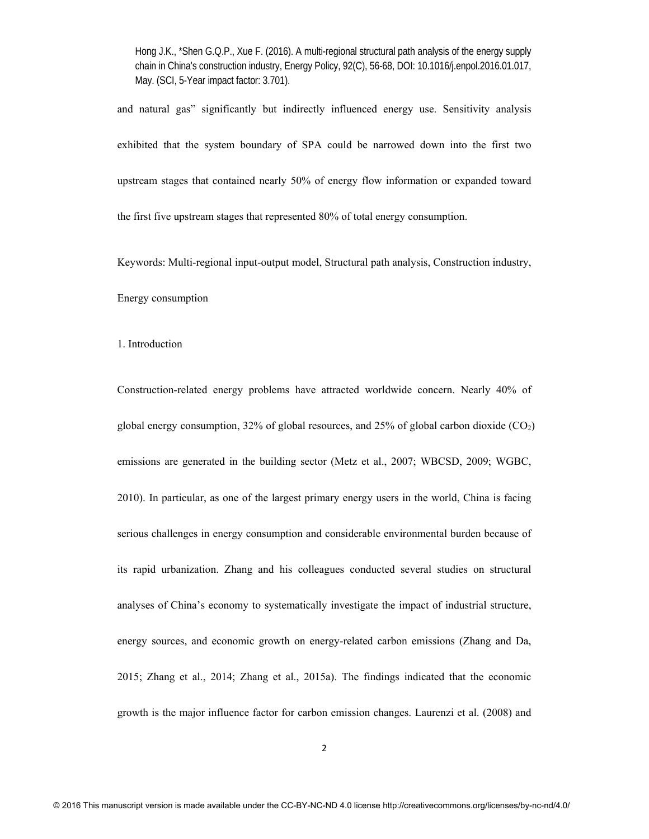and natural gas" significantly but indirectly influenced energy use. Sensitivity analysis exhibited that the system boundary of SPA could be narrowed down into the first two upstream stages that contained nearly 50% of energy flow information or expanded toward the first five upstream stages that represented 80% of total energy consumption.

Keywords: Multi-regional input-output model, Structural path analysis, Construction industry, Energy consumption

1. Introduction

Construction-related energy problems have attracted worldwide concern. Nearly 40% of global energy consumption,  $32\%$  of global resources, and  $25\%$  of global carbon dioxide (CO<sub>2</sub>) emissions are generated in the building sector (Metz et al., 2007; WBCSD, 2009; WGBC, 2010). In particular, as one of the largest primary energy users in the world, China is facing serious challenges in energy consumption and considerable environmental burden because of its rapid urbanization. Zhang and his colleagues conducted several studies on structural analyses of China's economy to systematically investigate the impact of industrial structure, energy sources, and economic growth on energy-related carbon emissions (Zhang and Da, 2015; Zhang et al., 2014; Zhang et al., 2015a). The findings indicated that the economic growth is the major influence factor for carbon emission changes. Laurenzi et al. (2008) and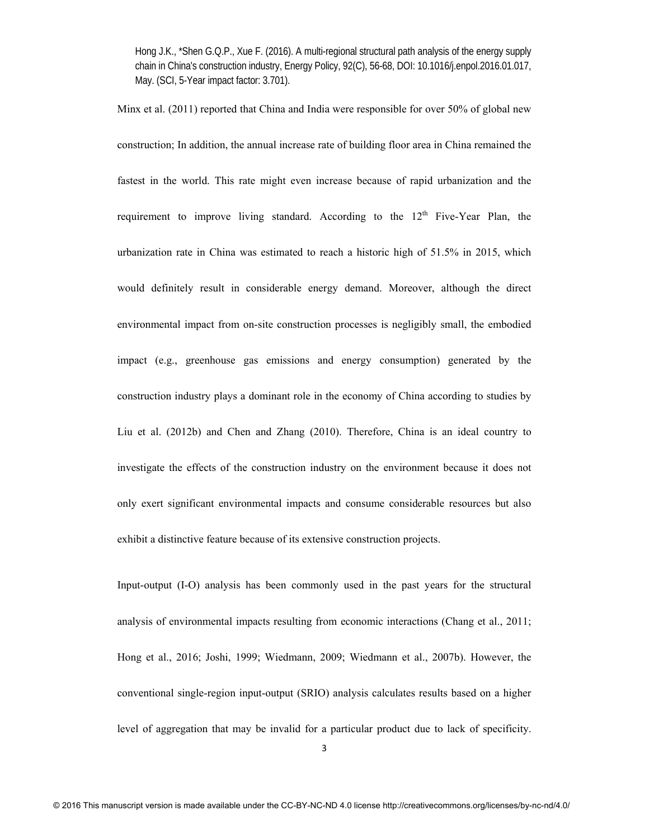Minx et al. (2011) reported that China and India were responsible for over 50% of global new construction; In addition, the annual increase rate of building floor area in China remained the fastest in the world. This rate might even increase because of rapid urbanization and the requirement to improve living standard. According to the 12<sup>th</sup> Five-Year Plan, the urbanization rate in China was estimated to reach a historic high of 51.5% in 2015, which would definitely result in considerable energy demand. Moreover, although the direct environmental impact from on-site construction processes is negligibly small, the embodied impact (e.g., greenhouse gas emissions and energy consumption) generated by the construction industry plays a dominant role in the economy of China according to studies by Liu et al. (2012b) and Chen and Zhang (2010). Therefore, China is an ideal country to investigate the effects of the construction industry on the environment because it does not only exert significant environmental impacts and consume considerable resources but also exhibit a distinctive feature because of its extensive construction projects.

Input-output (I-O) analysis has been commonly used in the past years for the structural analysis of environmental impacts resulting from economic interactions (Chang et al., 2011; Hong et al., 2016; Joshi, 1999; Wiedmann, 2009; Wiedmann et al., 2007b). However, the conventional single-region input-output (SRIO) analysis calculates results based on a higher level of aggregation that may be invalid for a particular product due to lack of specificity.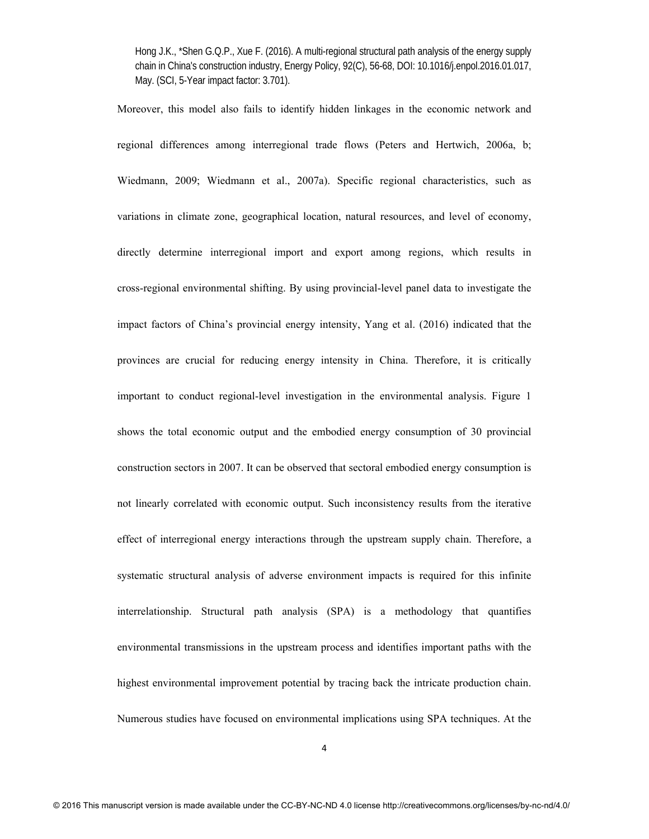Moreover, this model also fails to identify hidden linkages in the economic network and regional differences among interregional trade flows (Peters and Hertwich, 2006a, b; Wiedmann, 2009; Wiedmann et al., 2007a). Specific regional characteristics, such as variations in climate zone, geographical location, natural resources, and level of economy, directly determine interregional import and export among regions, which results in cross-regional environmental shifting. By using provincial-level panel data to investigate the impact factors of China's provincial energy intensity, Yang et al. (2016) indicated that the provinces are crucial for reducing energy intensity in China. Therefore, it is critically important to conduct regional-level investigation in the environmental analysis. Figure 1 shows the total economic output and the embodied energy consumption of 30 provincial construction sectors in 2007. It can be observed that sectoral embodied energy consumption is not linearly correlated with economic output. Such inconsistency results from the iterative effect of interregional energy interactions through the upstream supply chain. Therefore, a systematic structural analysis of adverse environment impacts is required for this infinite interrelationship. Structural path analysis (SPA) is a methodology that quantifies environmental transmissions in the upstream process and identifies important paths with the highest environmental improvement potential by tracing back the intricate production chain. Numerous studies have focused on environmental implications using SPA techniques. At the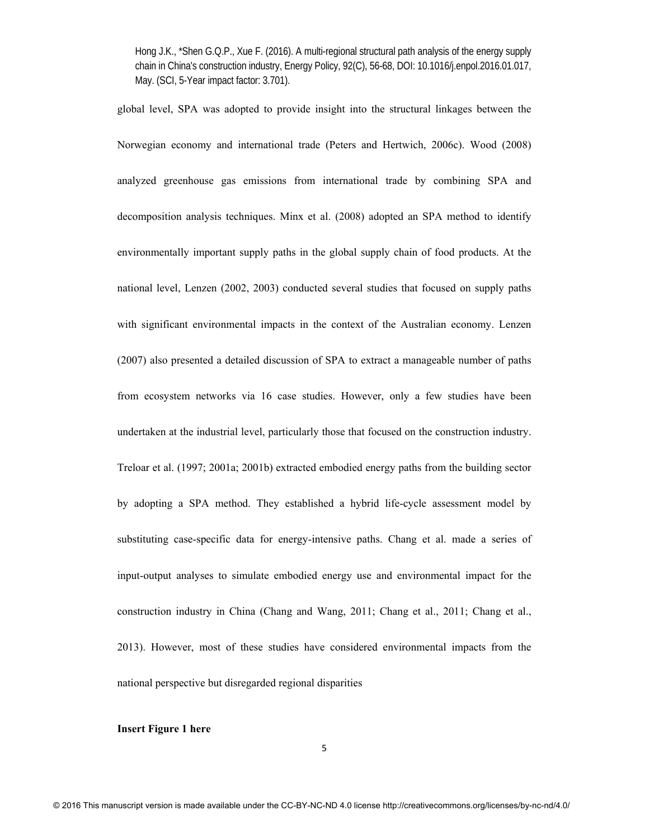global level, SPA was adopted to provide insight into the structural linkages between the Norwegian economy and international trade (Peters and Hertwich, 2006c). Wood (2008) analyzed greenhouse gas emissions from international trade by combining SPA and decomposition analysis techniques. Minx et al. (2008) adopted an SPA method to identify environmentally important supply paths in the global supply chain of food products. At the national level, Lenzen (2002, 2003) conducted several studies that focused on supply paths with significant environmental impacts in the context of the Australian economy. Lenzen (2007) also presented a detailed discussion of SPA to extract a manageable number of paths from ecosystem networks via 16 case studies. However, only a few studies have been undertaken at the industrial level, particularly those that focused on the construction industry. Treloar et al. (1997; 2001a; 2001b) extracted embodied energy paths from the building sector by adopting a SPA method. They established a hybrid life-cycle assessment model by substituting case-specific data for energy-intensive paths. Chang et al. made a series of input-output analyses to simulate embodied energy use and environmental impact for the construction industry in China (Chang and Wang, 2011; Chang et al., 2011; Chang et al., 2013). However, most of these studies have considered environmental impacts from the national perspective but disregarded regional disparities

## **Insert Figure 1 here**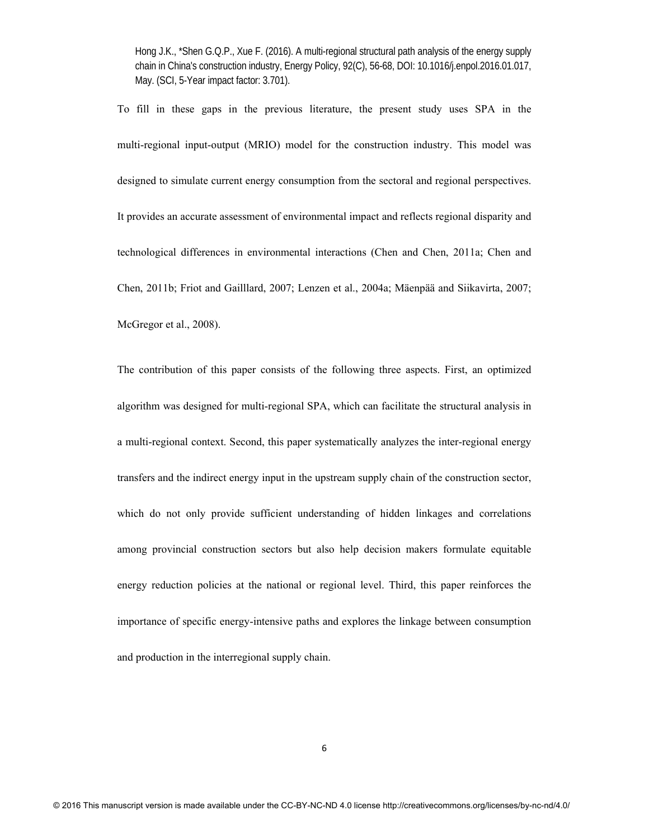To fill in these gaps in the previous literature, the present study uses SPA in the multi-regional input-output (MRIO) model for the construction industry. This model was designed to simulate current energy consumption from the sectoral and regional perspectives. It provides an accurate assessment of environmental impact and reflects regional disparity and technological differences in environmental interactions (Chen and Chen, 2011a; Chen and Chen, 2011b; Friot and Gailllard, 2007; Lenzen et al., 2004a; Mäenpää and Siikavirta, 2007; McGregor et al., 2008).

The contribution of this paper consists of the following three aspects. First, an optimized algorithm was designed for multi-regional SPA, which can facilitate the structural analysis in a multi-regional context. Second, this paper systematically analyzes the inter-regional energy transfers and the indirect energy input in the upstream supply chain of the construction sector, which do not only provide sufficient understanding of hidden linkages and correlations among provincial construction sectors but also help decision makers formulate equitable energy reduction policies at the national or regional level. Third, this paper reinforces the importance of specific energy-intensive paths and explores the linkage between consumption and production in the interregional supply chain.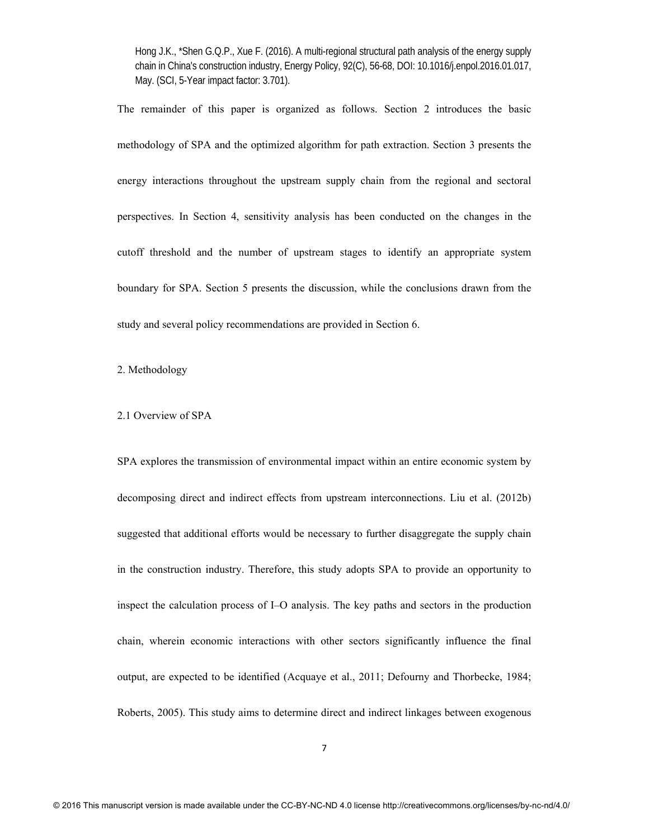The remainder of this paper is organized as follows. Section 2 introduces the basic methodology of SPA and the optimized algorithm for path extraction. Section 3 presents the energy interactions throughout the upstream supply chain from the regional and sectoral perspectives. In Section 4, sensitivity analysis has been conducted on the changes in the cutoff threshold and the number of upstream stages to identify an appropriate system boundary for SPA. Section 5 presents the discussion, while the conclusions drawn from the study and several policy recommendations are provided in Section 6.

2. Methodology

### 2.1 Overview of SPA

SPA explores the transmission of environmental impact within an entire economic system by decomposing direct and indirect effects from upstream interconnections. Liu et al. (2012b) suggested that additional efforts would be necessary to further disaggregate the supply chain in the construction industry. Therefore, this study adopts SPA to provide an opportunity to inspect the calculation process of I–O analysis. The key paths and sectors in the production chain, wherein economic interactions with other sectors significantly influence the final output, are expected to be identified (Acquaye et al., 2011; Defourny and Thorbecke, 1984; Roberts, 2005). This study aims to determine direct and indirect linkages between exogenous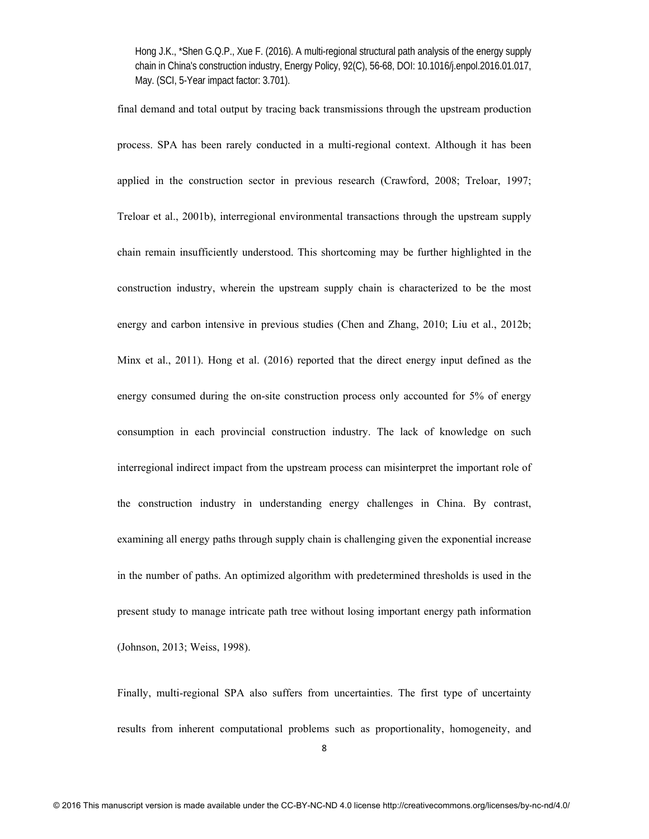final demand and total output by tracing back transmissions through the upstream production process. SPA has been rarely conducted in a multi-regional context. Although it has been applied in the construction sector in previous research (Crawford, 2008; Treloar, 1997; Treloar et al., 2001b), interregional environmental transactions through the upstream supply chain remain insufficiently understood. This shortcoming may be further highlighted in the construction industry, wherein the upstream supply chain is characterized to be the most energy and carbon intensive in previous studies (Chen and Zhang, 2010; Liu et al., 2012b; Minx et al., 2011). Hong et al. (2016) reported that the direct energy input defined as the energy consumed during the on-site construction process only accounted for 5% of energy consumption in each provincial construction industry. The lack of knowledge on such interregional indirect impact from the upstream process can misinterpret the important role of the construction industry in understanding energy challenges in China. By contrast, examining all energy paths through supply chain is challenging given the exponential increase in the number of paths. An optimized algorithm with predetermined thresholds is used in the present study to manage intricate path tree without losing important energy path information (Johnson, 2013; Weiss, 1998).

Finally, multi-regional SPA also suffers from uncertainties. The first type of uncertainty results from inherent computational problems such as proportionality, homogeneity, and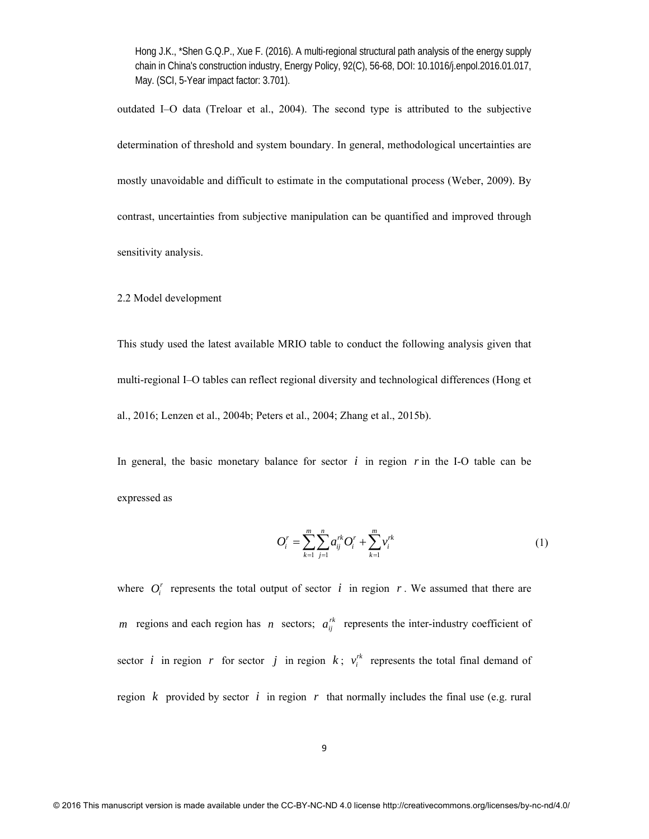outdated I–O data (Treloar et al., 2004). The second type is attributed to the subjective determination of threshold and system boundary. In general, methodological uncertainties are mostly unavoidable and difficult to estimate in the computational process (Weber, 2009). By contrast, uncertainties from subjective manipulation can be quantified and improved through sensitivity analysis.

2.2 Model development

This study used the latest available MRIO table to conduct the following analysis given that multi-regional I–O tables can reflect regional diversity and technological differences (Hong et al., 2016; Lenzen et al., 2004b; Peters et al., 2004; Zhang et al., 2015b).

In general, the basic monetary balance for sector  $i$  in region  $r$  in the I-O table can be expressed as

$$
O_i^r = \sum_{k=1}^m \sum_{j=1}^n a_{ij}^{rk} O_i^r + \sum_{k=1}^m v_i^{rk}
$$
 (1)

where  $O_i^r$  represents the total output of sector  $i$  in region  $r$ . We assumed that there are *m* regions and each region has *n* sectors;  $a_{ij}^{rk}$  represents the inter-industry coefficient of sector *i* in region *r* for sector *j* in region *k*;  $v_i^{rk}$  represents the total final demand of region  $k$  provided by sector  $i$  in region  $r$  that normally includes the final use (e.g. rural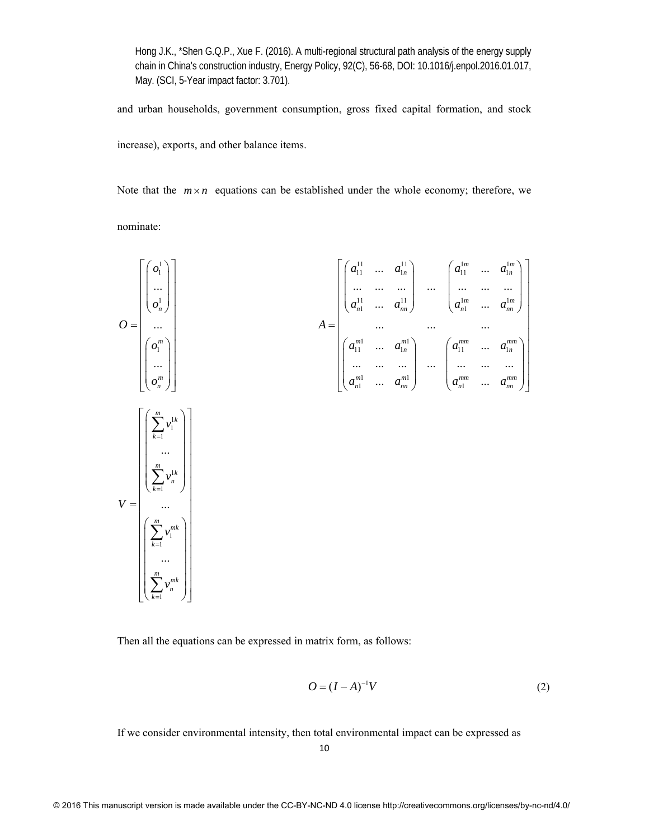and urban households, government consumption, gross fixed capital formation, and stock

increase), exports, and other balance items.

Note that the  $m \times n$  equations can be established under the whole economy; therefore, we nominate:

$$
O = \begin{bmatrix} \begin{pmatrix} a_1^1 \\ \dots \\ a_n^1 \end{pmatrix} \\ \begin{pmatrix} a_1^1 \\ \dots \\ a_n^1 \end{pmatrix} \\ O = \begin{bmatrix} \begin{pmatrix} a_1^1 \\ \dots \\ a_n^1 \end{pmatrix} \\ \begin{pmatrix} a_1^1 \\ \dots \\ a_n^1 \end{pmatrix} \\ \begin{pmatrix} a_1^1 \\ \dots \\ a_n^1 \end{pmatrix} \\ \begin{pmatrix} a_1^1 \\ \dots \\ a_n^1 \end{pmatrix} \\ \begin{pmatrix} a_1^1 \\ \dots \\ a_n^1 \end{pmatrix} \\ \begin{pmatrix} a_1^1 \\ \dots \\ a_n^1 \end{pmatrix} \\ \begin{pmatrix} a_1^1 \\ \dots \\ a_n^1 \end{pmatrix} \\ \begin{pmatrix} a_1^1 \\ \dots \\ a_n^1 \end{pmatrix} \\ \begin{pmatrix} a_1^1 \\ \dots \\ a_n^1 \end{pmatrix} \\ \begin{pmatrix} a_1^1 \\ \dots \\ a_n^1 \end{pmatrix} \\ \begin{pmatrix} a_1^1 \\ \dots \\ a_n^1 \end{pmatrix} \\ \begin{pmatrix} a_1^1 \\ \dots \\ a_n^1 \end{pmatrix} \\ \begin{pmatrix} a_1^1 \\ \dots \\ a_n^1 \end{pmatrix} \\ \begin{pmatrix} a_1^1 \\ \dots \\ a_n^1 \end{pmatrix} \\ \begin{pmatrix} a_1^1 \\ \dots \\ a_n^1 \end{pmatrix} \\ \begin{pmatrix} a_1^1 \\ \dots \\ a_n^1 \end{pmatrix} \\ \begin{pmatrix} a_1^1 \\ \dots \\ a_n^1 \end{pmatrix} \\ \begin{pmatrix} a_1^1 \\ \dots \\ a_n^1 \end{pmatrix} \\ \begin{pmatrix} a_1^1 \\ \dots \\ a_n^1 \end{pmatrix} \\ \begin{pmatrix} a_1^1 \\ \dots \\ a_n^1 \end{pmatrix} \\ \begin{pmatrix} a_1^1 \\ \dots \\ a_n^1 \end{pmatrix} \\ \begin{pmatrix} a_1^1 \\ \dots \\ a_n^1 \end{pmatrix} \\ \begin{pmatrix} a_1^1 \\ \dots \\ a_n^1 \end{pmatrix} \\ \begin{pmatrix} a_1^1 \\ \dots \\ a_n^1 \end{pmatrix} \\ \begin{pmatrix} a_1^1 \\ \dots \\ a_n^1 \end{pmatrix} \\ \begin{pmatrix} a_1^1 \\ \dots \\ a_n^1 \end{pmatrix} \\ \begin{pmatrix} a_1^1 \\ \dots \\
$$

Then all the equations can be expressed in matrix form, as follows:

$$
O = (I - A)^{-1}V
$$
 (2)

If we consider environmental intensity, then total environmental impact can be expressed as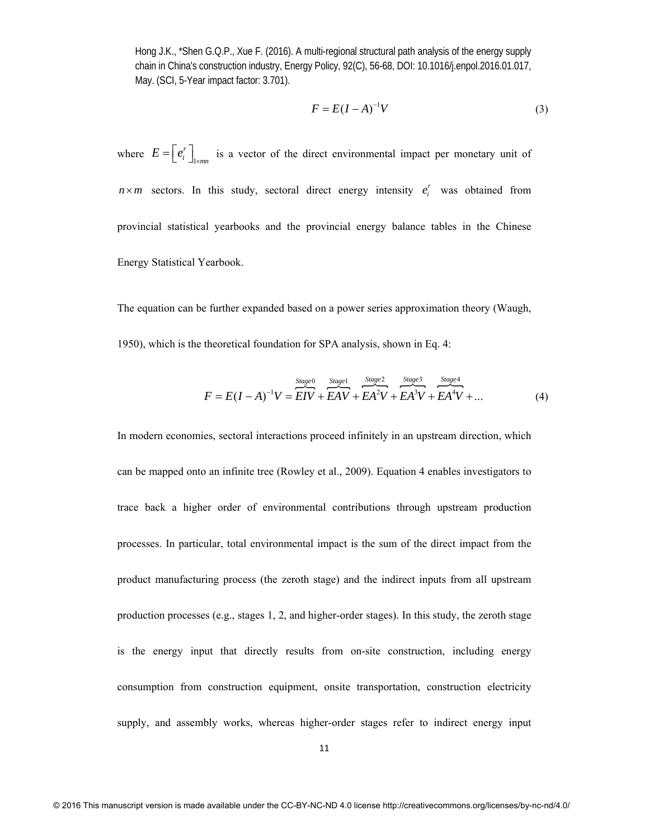$$
F = E(I - A)^{-1}V\tag{3}
$$

where  $E = \left[ e_i^r \right]_1$  $E = \left[ e_i^r \right]_{\text{lmm}}$  is a vector of the direct environmental impact per monetary unit of  $n \times m$  sectors. In this study, sectoral direct energy intensity  $e_i^r$  was obtained from provincial statistical yearbooks and the provincial energy balance tables in the Chinese Energy Statistical Yearbook.

The equation can be further expanded based on a power series approximation theory (Waugh, 1950), which is the theoretical foundation for SPA analysis, shown in Eq. 4:

$$
F = E(I - A)^{-1}V = \overbrace{EIV}^{Stage0} + \overbrace{EAV}^{Stage1} + \overbrace{EA}^{Stage2} + \overbrace{EA}^{Stage3} + \overbrace{EA}^{Stage4} + \overbrace{EA}^{Stage4} + \dots
$$
 (4)

In modern economies, sectoral interactions proceed infinitely in an upstream direction, which can be mapped onto an infinite tree (Rowley et al., 2009). Equation 4 enables investigators to trace back a higher order of environmental contributions through upstream production processes. In particular, total environmental impact is the sum of the direct impact from the product manufacturing process (the zeroth stage) and the indirect inputs from all upstream production processes (e.g., stages 1, 2, and higher-order stages). In this study, the zeroth stage is the energy input that directly results from on-site construction, including energy consumption from construction equipment, onsite transportation, construction electricity supply, and assembly works, whereas higher-order stages refer to indirect energy input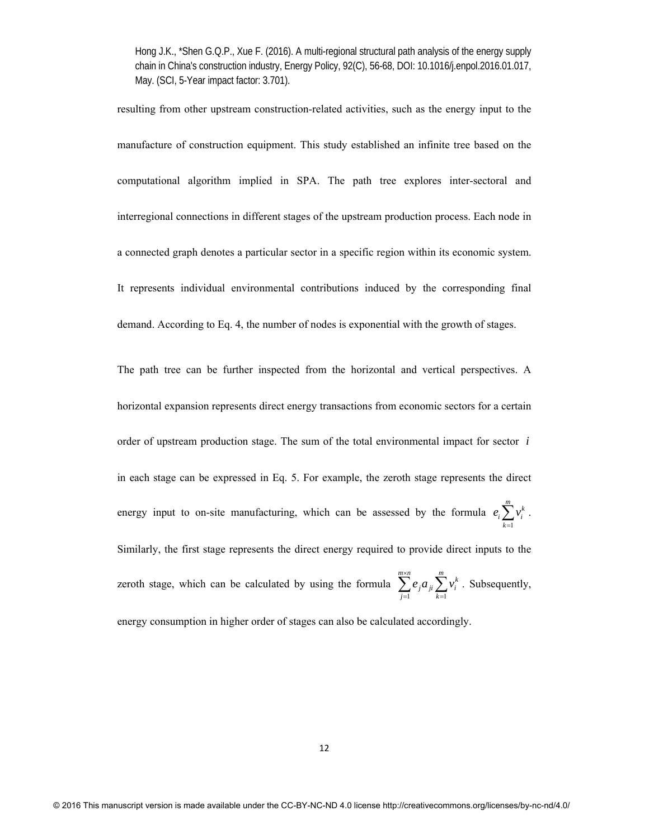resulting from other upstream construction-related activities, such as the energy input to the manufacture of construction equipment. This study established an infinite tree based on the computational algorithm implied in SPA. The path tree explores inter-sectoral and interregional connections in different stages of the upstream production process. Each node in a connected graph denotes a particular sector in a specific region within its economic system. It represents individual environmental contributions induced by the corresponding final demand. According to Eq. 4, the number of nodes is exponential with the growth of stages.

The path tree can be further inspected from the horizontal and vertical perspectives. A horizontal expansion represents direct energy transactions from economic sectors for a certain order of upstream production stage. The sum of the total environmental impact for sector *i* in each stage can be expressed in Eq. 5. For example, the zeroth stage represents the direct energy input to on-site manufacturing, which can be assessed by the formula 1  $\sum_{k=1}^m v_i^k$  $e_i \sum v$  $\sum_{k=1}v_i^k$ . Similarly, the first stage represents the direct energy required to provide direct inputs to the zeroth stage, which can be calculated by using the formula  $k=1$  $\sum_{j=1}^{m \times n} e_j a_{ji} \sum_{k=1}^{m} v_i^k$  $\sum_{i=1}^{n} e_i a_{ii} \sum_{i=1}^{m} v_i$  $\sum_{j=1} e_j a_{ji} \sum_{k=1} v_i^k$ . Subsequently, energy consumption in higher order of stages can also be calculated accordingly.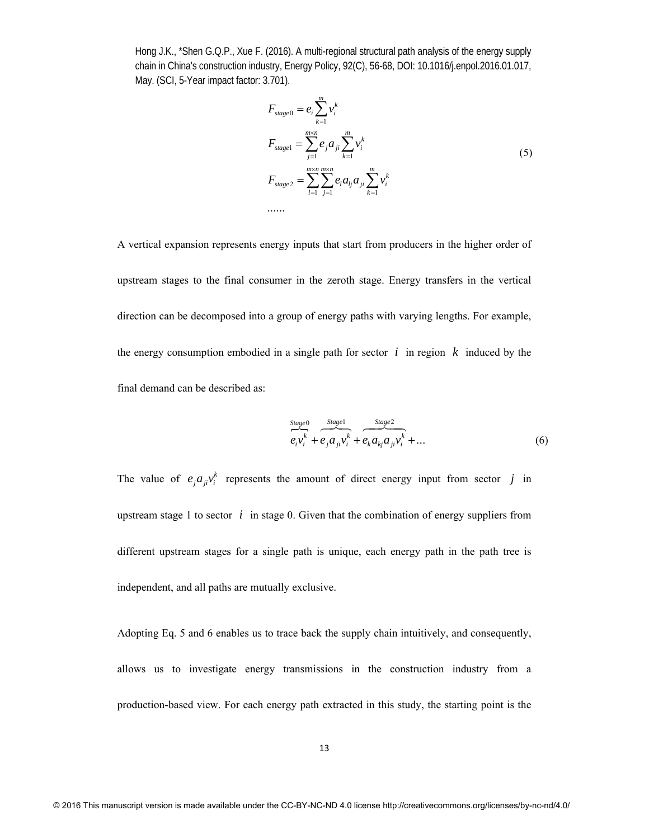$$
F_{stage0} = e_i \sum_{k=1}^{m} v_i^k
$$
  
\n
$$
F_{stage1} = \sum_{j=1}^{m \times n} e_j a_{ji} \sum_{k=1}^{m} v_i^k
$$
  
\n
$$
F_{stage2} = \sum_{l=1}^{m \times n} \sum_{j=1}^{m \times n} e_l a_{lj} a_{ji} \sum_{k=1}^{m} v_i^k
$$
  
\n........ (5)

A vertical expansion represents energy inputs that start from producers in the higher order of upstream stages to the final consumer in the zeroth stage. Energy transfers in the vertical direction can be decomposed into a group of energy paths with varying lengths. For example, the energy consumption embodied in a single path for sector  $i$  in region  $k$  induced by the final demand can be described as:

$$
\overbrace{e_i v_i^k}^{Stage0} + \overbrace{e_j a_{ji} v_i^k}^{Stage1} + \overbrace{e_k a_{kj} a_{ji} v_i^k}^{Stage2} + \dots
$$
 (6)

The value of  $e_j a_{ji} v_i^k$  represents the amount of direct energy input from sector *j* in upstream stage 1 to sector  $i$  in stage 0. Given that the combination of energy suppliers from different upstream stages for a single path is unique, each energy path in the path tree is independent, and all paths are mutually exclusive.

Adopting Eq. 5 and 6 enables us to trace back the supply chain intuitively, and consequently, allows us to investigate energy transmissions in the construction industry from a production-based view. For each energy path extracted in this study, the starting point is the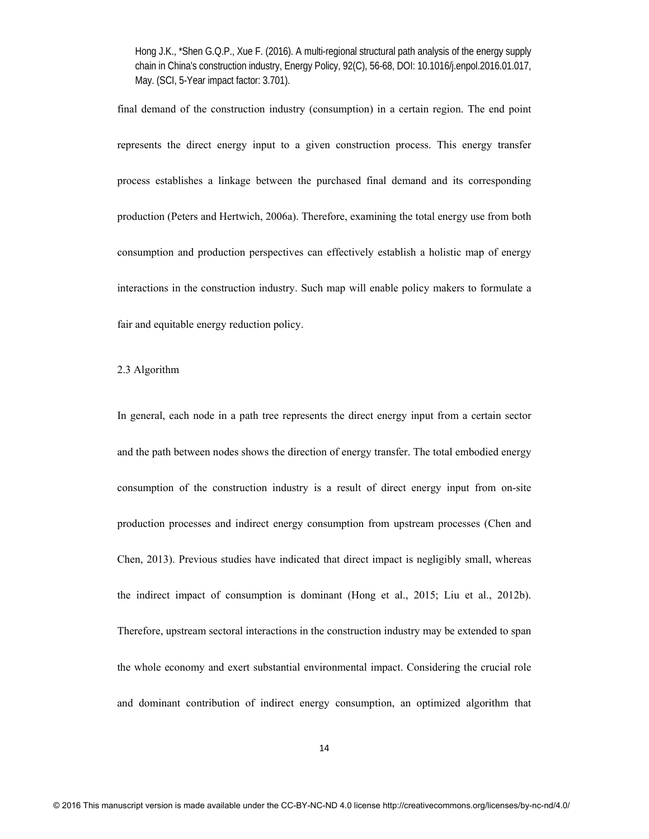final demand of the construction industry (consumption) in a certain region. The end point represents the direct energy input to a given construction process. This energy transfer process establishes a linkage between the purchased final demand and its corresponding production (Peters and Hertwich, 2006a). Therefore, examining the total energy use from both consumption and production perspectives can effectively establish a holistic map of energy interactions in the construction industry. Such map will enable policy makers to formulate a fair and equitable energy reduction policy.

## 2.3 Algorithm

In general, each node in a path tree represents the direct energy input from a certain sector and the path between nodes shows the direction of energy transfer. The total embodied energy consumption of the construction industry is a result of direct energy input from on-site production processes and indirect energy consumption from upstream processes (Chen and Chen, 2013). Previous studies have indicated that direct impact is negligibly small, whereas the indirect impact of consumption is dominant (Hong et al., 2015; Liu et al., 2012b). Therefore, upstream sectoral interactions in the construction industry may be extended to span the whole economy and exert substantial environmental impact. Considering the crucial role and dominant contribution of indirect energy consumption, an optimized algorithm that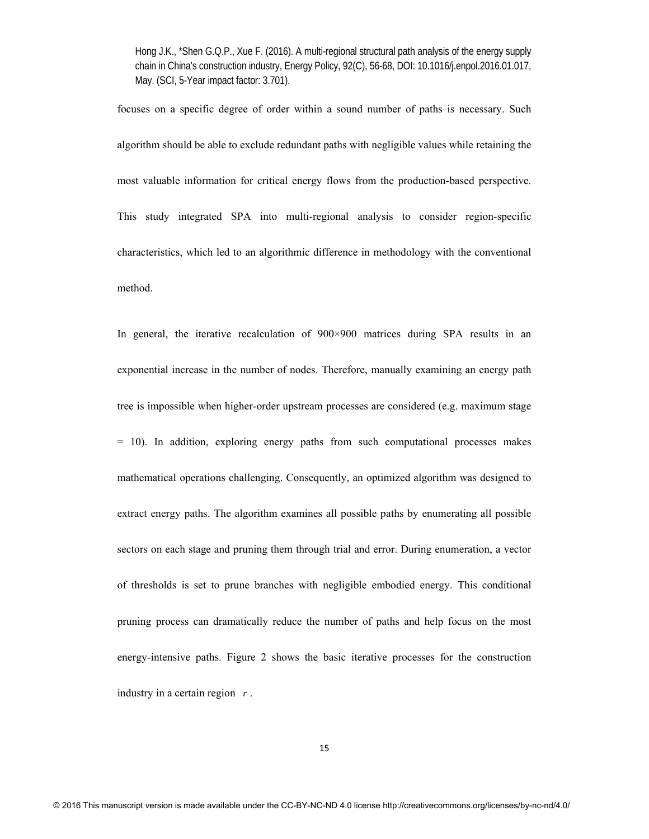focuses on a specific degree of order within a sound number of paths is necessary. Such algorithm should be able to exclude redundant paths with negligible values while retaining the most valuable information for critical energy flows from the production-based perspective. This study integrated SPA into multi-regional analysis to consider region-specific characteristics, which led to an algorithmic difference in methodology with the conventional method.

In general, the iterative recalculation of 900×900 matrices during SPA results in an exponential increase in the number of nodes. Therefore, manually examining an energy path tree is impossible when higher-order upstream processes are considered (e.g. maximum stage = 10). In addition, exploring energy paths from such computational processes makes mathematical operations challenging. Consequently, an optimized algorithm was designed to extract energy paths. The algorithm examines all possible paths by enumerating all possible sectors on each stage and pruning them through trial and error. During enumeration, a vector of thresholds is set to prune branches with negligible embodied energy. This conditional pruning process can dramatically reduce the number of paths and help focus on the most energy-intensive paths. Figure 2 shows the basic iterative processes for the construction industry in a certain region *r* .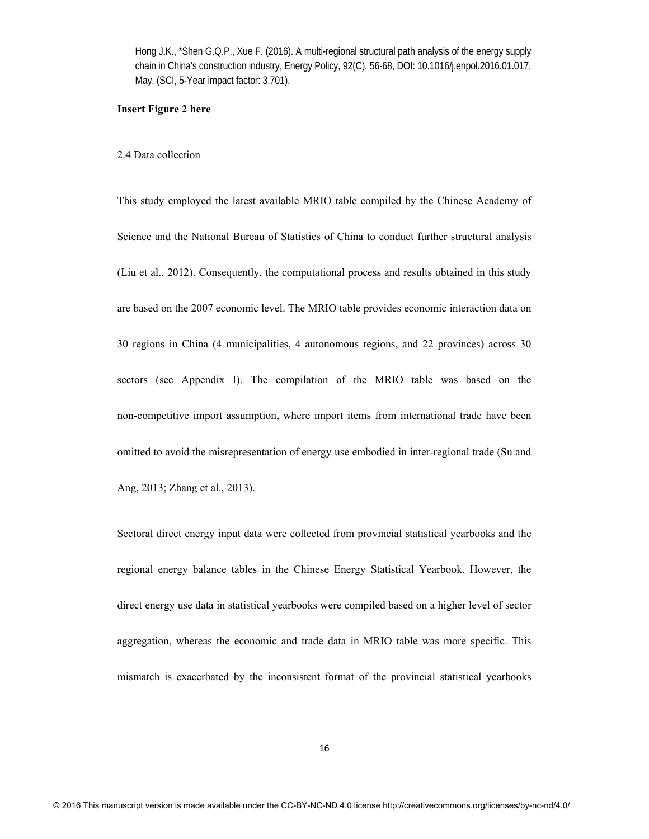## **Insert Figure 2 here**

#### 2.4 Data collection

This study employed the latest available MRIO table compiled by the Chinese Academy of Science and the National Bureau of Statistics of China to conduct further structural analysis (Liu et al., 2012). Consequently, the computational process and results obtained in this study are based on the 2007 economic level. The MRIO table provides economic interaction data on 30 regions in China (4 municipalities, 4 autonomous regions, and 22 provinces) across 30 sectors (see Appendix I). The compilation of the MRIO table was based on the non-competitive import assumption, where import items from international trade have been omitted to avoid the misrepresentation of energy use embodied in inter-regional trade (Su and Ang, 2013; Zhang et al., 2013).

Sectoral direct energy input data were collected from provincial statistical yearbooks and the regional energy balance tables in the Chinese Energy Statistical Yearbook. However, the direct energy use data in statistical yearbooks were compiled based on a higher level of sector aggregation, whereas the economic and trade data in MRIO table was more specific. This mismatch is exacerbated by the inconsistent format of the provincial statistical yearbooks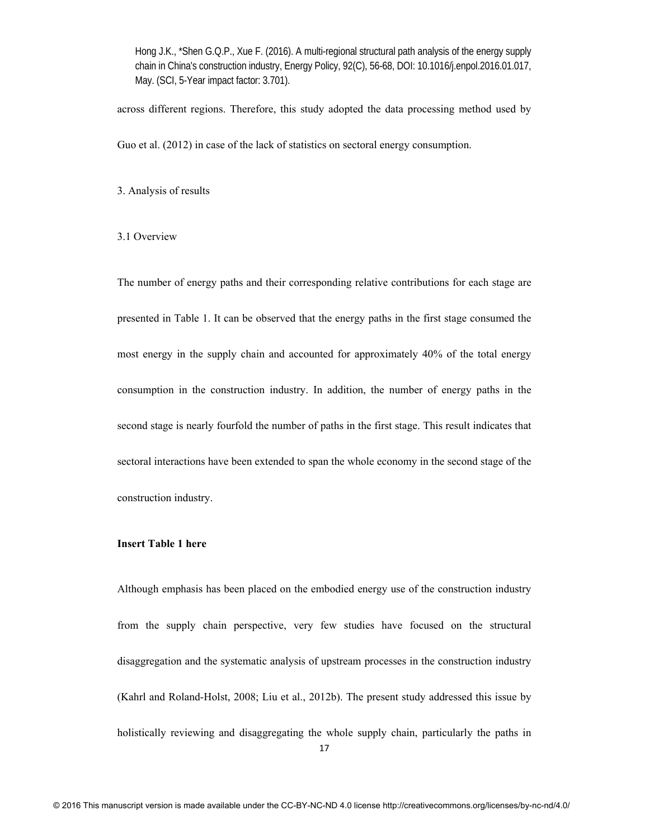across different regions. Therefore, this study adopted the data processing method used by

Guo et al. (2012) in case of the lack of statistics on sectoral energy consumption.

3. Analysis of results

## 3.1 Overview

The number of energy paths and their corresponding relative contributions for each stage are presented in Table 1. It can be observed that the energy paths in the first stage consumed the most energy in the supply chain and accounted for approximately 40% of the total energy consumption in the construction industry. In addition, the number of energy paths in the second stage is nearly fourfold the number of paths in the first stage. This result indicates that sectoral interactions have been extended to span the whole economy in the second stage of the construction industry.

## **Insert Table 1 here**

Although emphasis has been placed on the embodied energy use of the construction industry from the supply chain perspective, very few studies have focused on the structural disaggregation and the systematic analysis of upstream processes in the construction industry (Kahrl and Roland-Holst, 2008; Liu et al., 2012b). The present study addressed this issue by holistically reviewing and disaggregating the whole supply chain, particularly the paths in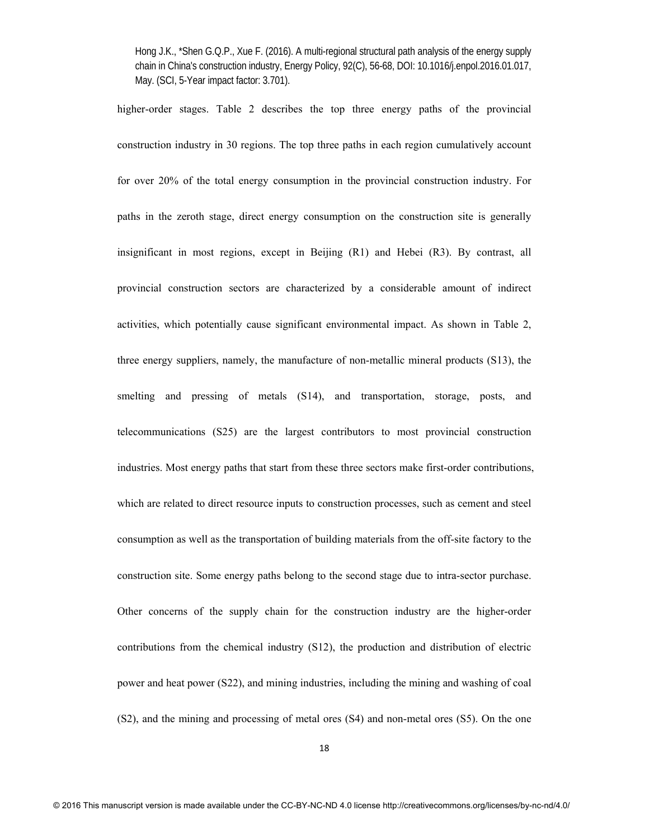higher-order stages. Table 2 describes the top three energy paths of the provincial construction industry in 30 regions. The top three paths in each region cumulatively account for over 20% of the total energy consumption in the provincial construction industry. For paths in the zeroth stage, direct energy consumption on the construction site is generally insignificant in most regions, except in Beijing (R1) and Hebei (R3). By contrast, all provincial construction sectors are characterized by a considerable amount of indirect activities, which potentially cause significant environmental impact. As shown in Table 2, three energy suppliers, namely, the manufacture of non-metallic mineral products (S13), the smelting and pressing of metals (S14), and transportation, storage, posts, and telecommunications (S25) are the largest contributors to most provincial construction industries. Most energy paths that start from these three sectors make first-order contributions, which are related to direct resource inputs to construction processes, such as cement and steel consumption as well as the transportation of building materials from the off-site factory to the construction site. Some energy paths belong to the second stage due to intra-sector purchase. Other concerns of the supply chain for the construction industry are the higher-order contributions from the chemical industry (S12), the production and distribution of electric power and heat power (S22), and mining industries, including the mining and washing of coal (S2), and the mining and processing of metal ores (S4) and non-metal ores (S5). On the one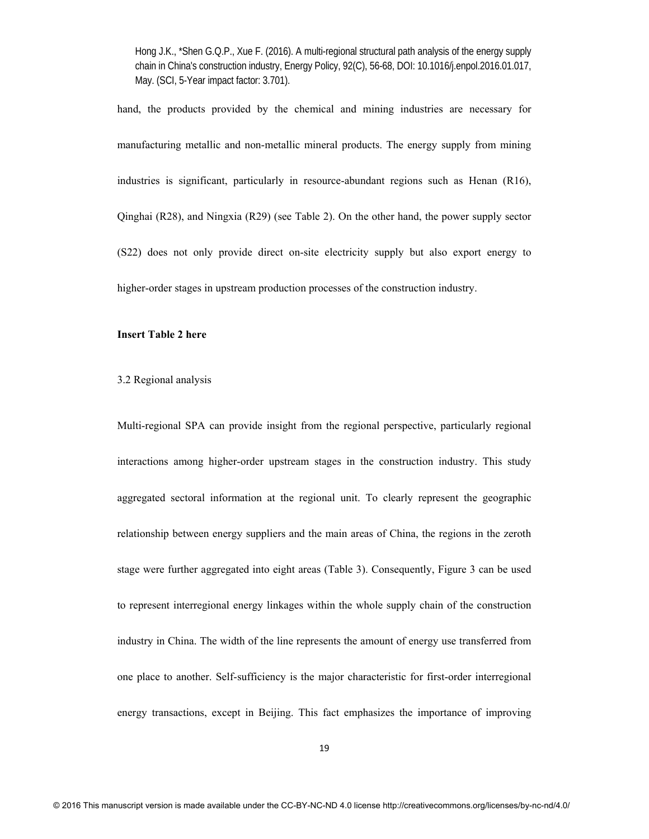hand, the products provided by the chemical and mining industries are necessary for manufacturing metallic and non-metallic mineral products. The energy supply from mining industries is significant, particularly in resource-abundant regions such as Henan (R16), Qinghai (R28), and Ningxia (R29) (see Table 2). On the other hand, the power supply sector (S22) does not only provide direct on-site electricity supply but also export energy to higher-order stages in upstream production processes of the construction industry.

## **Insert Table 2 here**

### 3.2 Regional analysis

Multi-regional SPA can provide insight from the regional perspective, particularly regional interactions among higher-order upstream stages in the construction industry. This study aggregated sectoral information at the regional unit. To clearly represent the geographic relationship between energy suppliers and the main areas of China, the regions in the zeroth stage were further aggregated into eight areas (Table 3). Consequently, Figure 3 can be used to represent interregional energy linkages within the whole supply chain of the construction industry in China. The width of the line represents the amount of energy use transferred from one place to another. Self-sufficiency is the major characteristic for first-order interregional energy transactions, except in Beijing. This fact emphasizes the importance of improving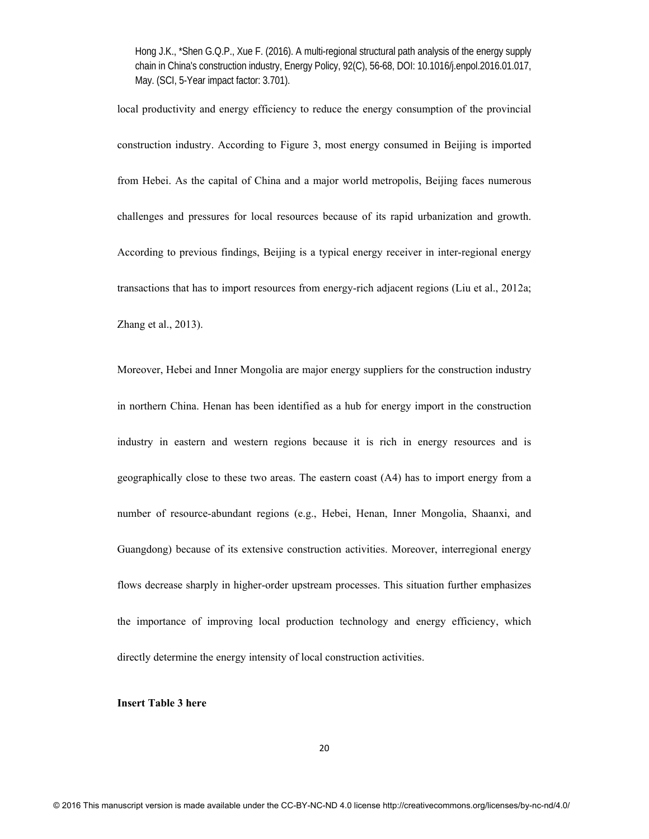local productivity and energy efficiency to reduce the energy consumption of the provincial construction industry. According to Figure 3, most energy consumed in Beijing is imported from Hebei. As the capital of China and a major world metropolis, Beijing faces numerous challenges and pressures for local resources because of its rapid urbanization and growth. According to previous findings, Beijing is a typical energy receiver in inter-regional energy transactions that has to import resources from energy-rich adjacent regions (Liu et al., 2012a; Zhang et al., 2013).

Moreover, Hebei and Inner Mongolia are major energy suppliers for the construction industry in northern China. Henan has been identified as a hub for energy import in the construction industry in eastern and western regions because it is rich in energy resources and is geographically close to these two areas. The eastern coast (A4) has to import energy from a number of resource-abundant regions (e.g., Hebei, Henan, Inner Mongolia, Shaanxi, and Guangdong) because of its extensive construction activities. Moreover, interregional energy flows decrease sharply in higher-order upstream processes. This situation further emphasizes the importance of improving local production technology and energy efficiency, which directly determine the energy intensity of local construction activities.

### **Insert Table 3 here**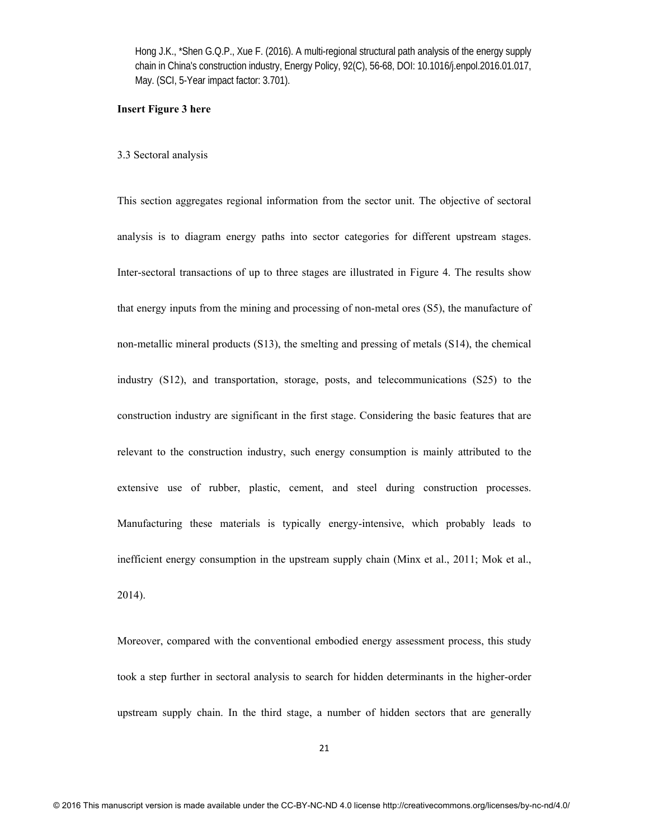### **Insert Figure 3 here**

#### 3.3 Sectoral analysis

This section aggregates regional information from the sector unit. The objective of sectoral analysis is to diagram energy paths into sector categories for different upstream stages. Inter-sectoral transactions of up to three stages are illustrated in Figure 4. The results show that energy inputs from the mining and processing of non-metal ores (S5), the manufacture of non-metallic mineral products (S13), the smelting and pressing of metals (S14), the chemical industry (S12), and transportation, storage, posts, and telecommunications (S25) to the construction industry are significant in the first stage. Considering the basic features that are relevant to the construction industry, such energy consumption is mainly attributed to the extensive use of rubber, plastic, cement, and steel during construction processes. Manufacturing these materials is typically energy-intensive, which probably leads to inefficient energy consumption in the upstream supply chain (Minx et al., 2011; Mok et al., 2014).

Moreover, compared with the conventional embodied energy assessment process, this study took a step further in sectoral analysis to search for hidden determinants in the higher-order upstream supply chain. In the third stage, a number of hidden sectors that are generally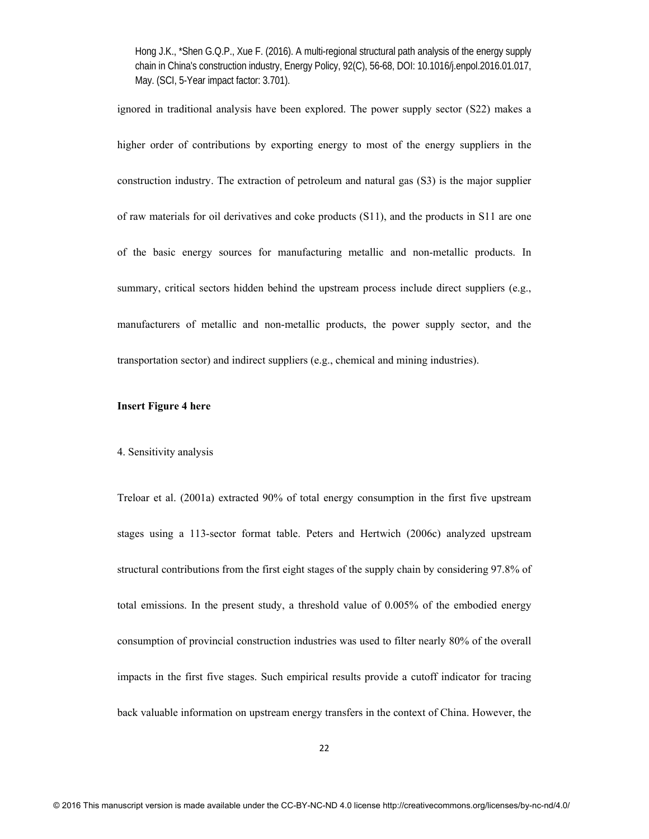ignored in traditional analysis have been explored. The power supply sector (S22) makes a higher order of contributions by exporting energy to most of the energy suppliers in the construction industry. The extraction of petroleum and natural gas (S3) is the major supplier of raw materials for oil derivatives and coke products (S11), and the products in S11 are one of the basic energy sources for manufacturing metallic and non-metallic products. In summary, critical sectors hidden behind the upstream process include direct suppliers (e.g., manufacturers of metallic and non-metallic products, the power supply sector, and the transportation sector) and indirect suppliers (e.g., chemical and mining industries).

#### **Insert Figure 4 here**

### 4. Sensitivity analysis

Treloar et al. (2001a) extracted 90% of total energy consumption in the first five upstream stages using a 113-sector format table. Peters and Hertwich (2006c) analyzed upstream structural contributions from the first eight stages of the supply chain by considering 97.8% of total emissions. In the present study, a threshold value of 0.005% of the embodied energy consumption of provincial construction industries was used to filter nearly 80% of the overall impacts in the first five stages. Such empirical results provide a cutoff indicator for tracing back valuable information on upstream energy transfers in the context of China. However, the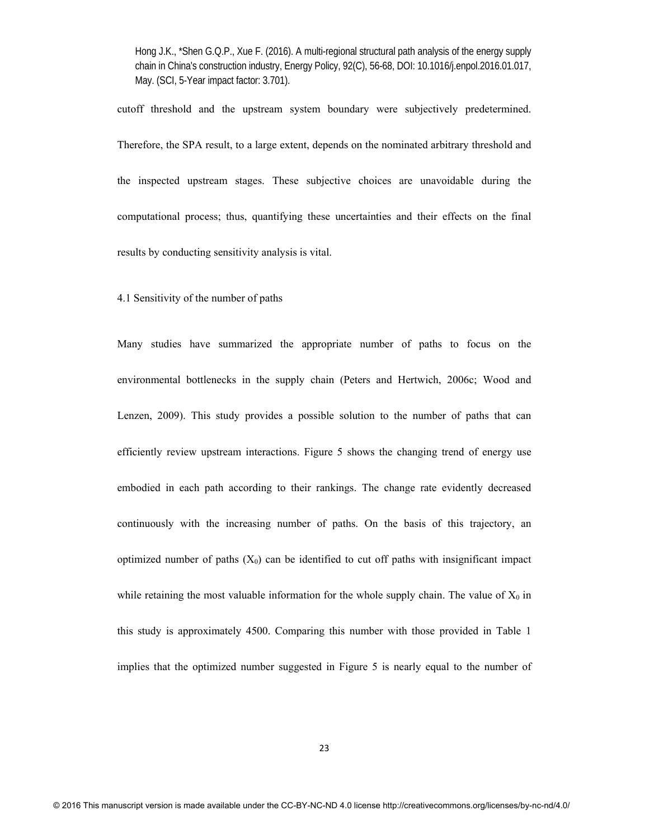cutoff threshold and the upstream system boundary were subjectively predetermined. Therefore, the SPA result, to a large extent, depends on the nominated arbitrary threshold and the inspected upstream stages. These subjective choices are unavoidable during the computational process; thus, quantifying these uncertainties and their effects on the final results by conducting sensitivity analysis is vital.

4.1 Sensitivity of the number of paths

Many studies have summarized the appropriate number of paths to focus on the environmental bottlenecks in the supply chain (Peters and Hertwich, 2006c; Wood and Lenzen, 2009). This study provides a possible solution to the number of paths that can efficiently review upstream interactions. Figure 5 shows the changing trend of energy use embodied in each path according to their rankings. The change rate evidently decreased continuously with the increasing number of paths. On the basis of this trajectory, an optimized number of paths  $(X_0)$  can be identified to cut off paths with insignificant impact while retaining the most valuable information for the whole supply chain. The value of  $X_0$  in this study is approximately 4500. Comparing this number with those provided in Table 1 implies that the optimized number suggested in Figure 5 is nearly equal to the number of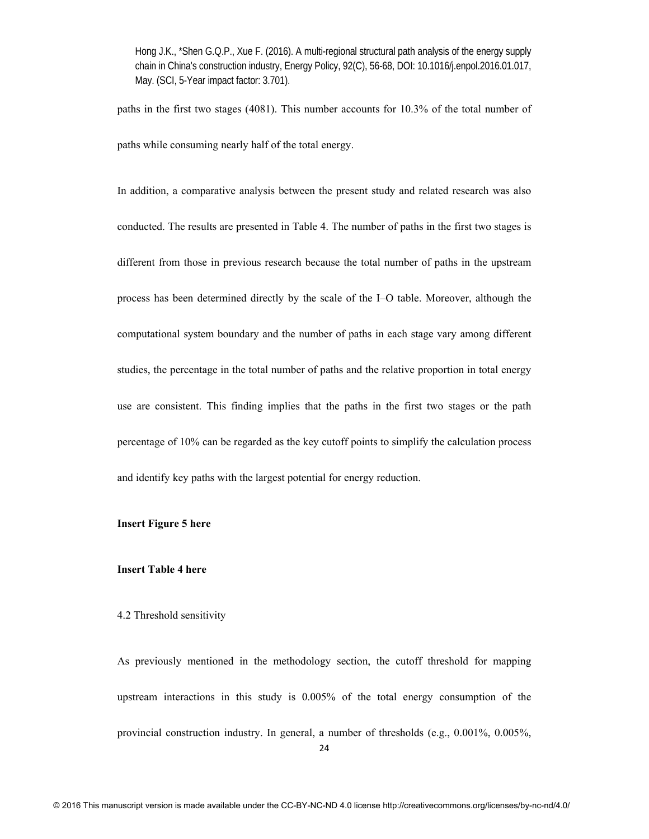paths in the first two stages (4081). This number accounts for 10.3% of the total number of paths while consuming nearly half of the total energy.

In addition, a comparative analysis between the present study and related research was also conducted. The results are presented in Table 4. The number of paths in the first two stages is different from those in previous research because the total number of paths in the upstream process has been determined directly by the scale of the I–O table. Moreover, although the computational system boundary and the number of paths in each stage vary among different studies, the percentage in the total number of paths and the relative proportion in total energy use are consistent. This finding implies that the paths in the first two stages or the path percentage of 10% can be regarded as the key cutoff points to simplify the calculation process and identify key paths with the largest potential for energy reduction.

## **Insert Figure 5 here**

#### **Insert Table 4 here**

### 4.2 Threshold sensitivity

As previously mentioned in the methodology section, the cutoff threshold for mapping upstream interactions in this study is 0.005% of the total energy consumption of the provincial construction industry. In general, a number of thresholds (e.g., 0.001%, 0.005%,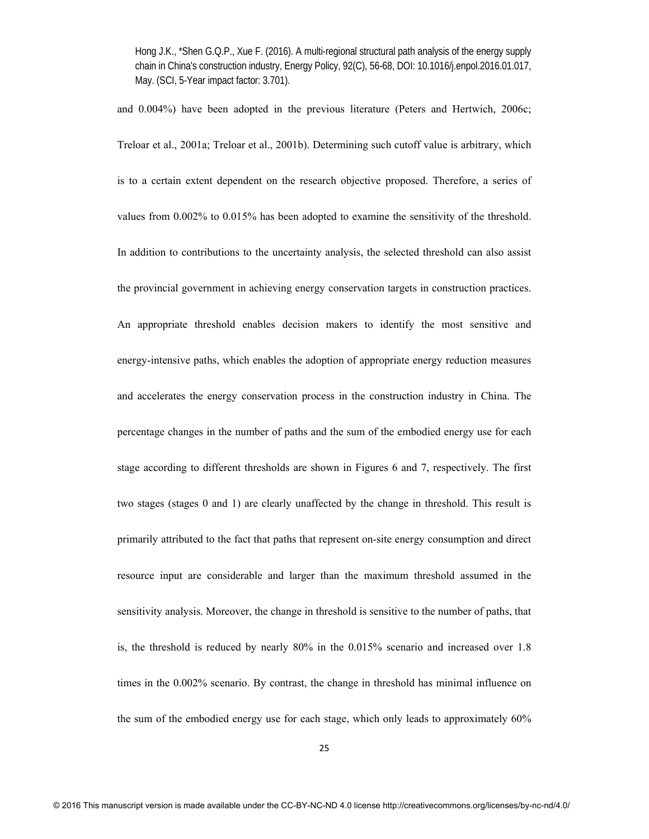and 0.004%) have been adopted in the previous literature (Peters and Hertwich, 2006c; Treloar et al., 2001a; Treloar et al., 2001b). Determining such cutoff value is arbitrary, which is to a certain extent dependent on the research objective proposed. Therefore, a series of values from 0.002% to 0.015% has been adopted to examine the sensitivity of the threshold. In addition to contributions to the uncertainty analysis, the selected threshold can also assist the provincial government in achieving energy conservation targets in construction practices. An appropriate threshold enables decision makers to identify the most sensitive and energy-intensive paths, which enables the adoption of appropriate energy reduction measures and accelerates the energy conservation process in the construction industry in China. The percentage changes in the number of paths and the sum of the embodied energy use for each stage according to different thresholds are shown in Figures 6 and 7, respectively. The first two stages (stages 0 and 1) are clearly unaffected by the change in threshold. This result is primarily attributed to the fact that paths that represent on-site energy consumption and direct resource input are considerable and larger than the maximum threshold assumed in the sensitivity analysis. Moreover, the change in threshold is sensitive to the number of paths, that is, the threshold is reduced by nearly 80% in the 0.015% scenario and increased over 1.8 times in the 0.002% scenario. By contrast, the change in threshold has minimal influence on the sum of the embodied energy use for each stage, which only leads to approximately 60%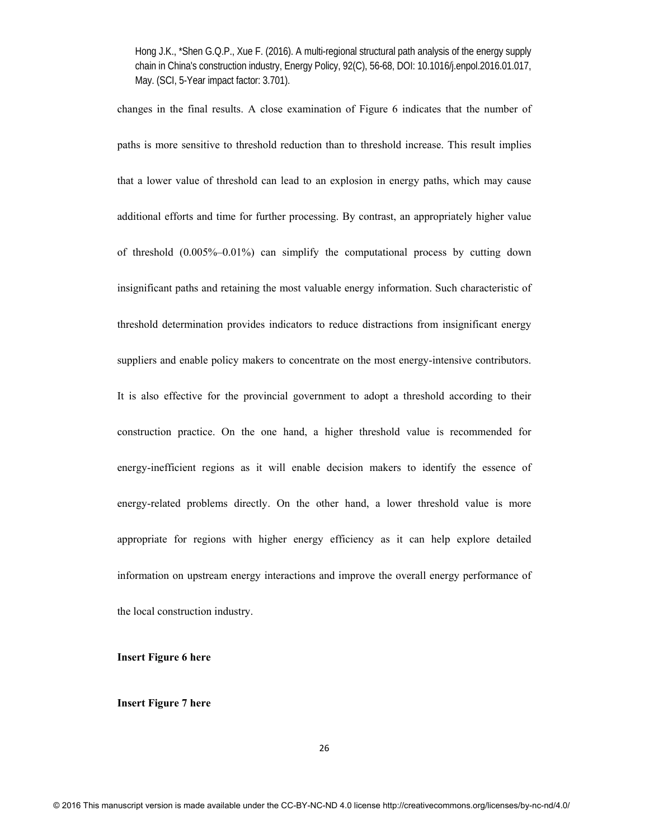changes in the final results. A close examination of Figure 6 indicates that the number of paths is more sensitive to threshold reduction than to threshold increase. This result implies that a lower value of threshold can lead to an explosion in energy paths, which may cause additional efforts and time for further processing. By contrast, an appropriately higher value of threshold (0.005%–0.01%) can simplify the computational process by cutting down insignificant paths and retaining the most valuable energy information. Such characteristic of threshold determination provides indicators to reduce distractions from insignificant energy suppliers and enable policy makers to concentrate on the most energy-intensive contributors. It is also effective for the provincial government to adopt a threshold according to their construction practice. On the one hand, a higher threshold value is recommended for energy-inefficient regions as it will enable decision makers to identify the essence of energy-related problems directly. On the other hand, a lower threshold value is more appropriate for regions with higher energy efficiency as it can help explore detailed information on upstream energy interactions and improve the overall energy performance of the local construction industry.

### **Insert Figure 6 here**

**Insert Figure 7 here**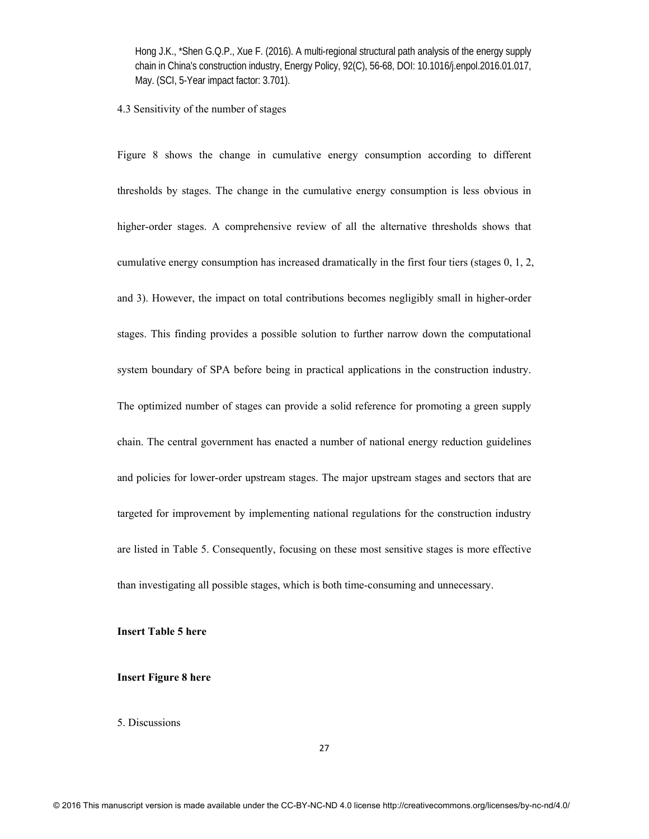### 4.3 Sensitivity of the number of stages

Figure 8 shows the change in cumulative energy consumption according to different thresholds by stages. The change in the cumulative energy consumption is less obvious in higher-order stages. A comprehensive review of all the alternative thresholds shows that cumulative energy consumption has increased dramatically in the first four tiers (stages 0, 1, 2, and 3). However, the impact on total contributions becomes negligibly small in higher-order stages. This finding provides a possible solution to further narrow down the computational system boundary of SPA before being in practical applications in the construction industry. The optimized number of stages can provide a solid reference for promoting a green supply chain. The central government has enacted a number of national energy reduction guidelines and policies for lower-order upstream stages. The major upstream stages and sectors that are targeted for improvement by implementing national regulations for the construction industry are listed in Table 5. Consequently, focusing on these most sensitive stages is more effective than investigating all possible stages, which is both time-consuming and unnecessary.

## **Insert Table 5 here**

## **Insert Figure 8 here**

## 5. Discussions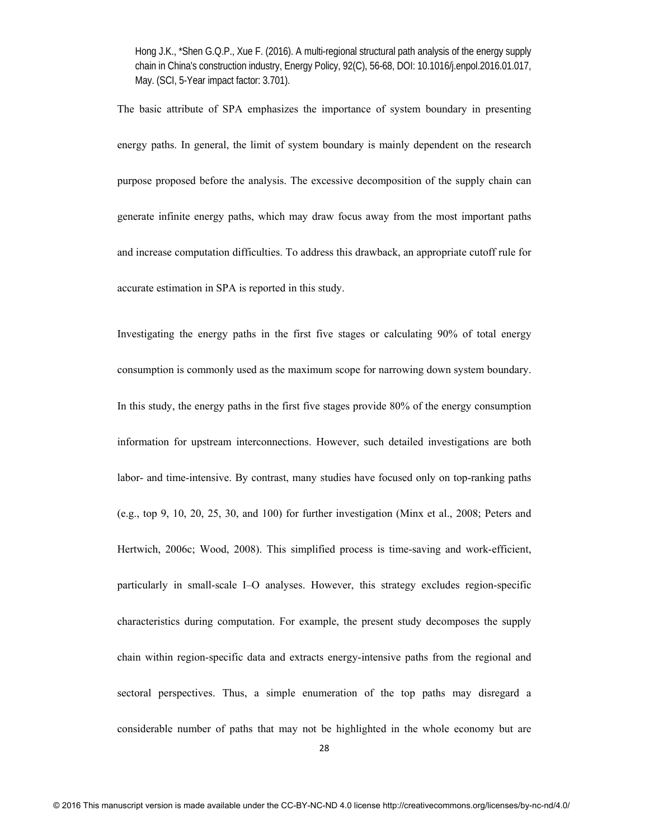The basic attribute of SPA emphasizes the importance of system boundary in presenting energy paths. In general, the limit of system boundary is mainly dependent on the research purpose proposed before the analysis. The excessive decomposition of the supply chain can generate infinite energy paths, which may draw focus away from the most important paths and increase computation difficulties. To address this drawback, an appropriate cutoff rule for accurate estimation in SPA is reported in this study.

Investigating the energy paths in the first five stages or calculating 90% of total energy consumption is commonly used as the maximum scope for narrowing down system boundary. In this study, the energy paths in the first five stages provide 80% of the energy consumption information for upstream interconnections. However, such detailed investigations are both labor- and time-intensive. By contrast, many studies have focused only on top-ranking paths (e.g., top 9, 10, 20, 25, 30, and 100) for further investigation (Minx et al., 2008; Peters and Hertwich, 2006c; Wood, 2008). This simplified process is time-saving and work-efficient, particularly in small-scale I–O analyses. However, this strategy excludes region-specific characteristics during computation. For example, the present study decomposes the supply chain within region-specific data and extracts energy-intensive paths from the regional and sectoral perspectives. Thus, a simple enumeration of the top paths may disregard a considerable number of paths that may not be highlighted in the whole economy but are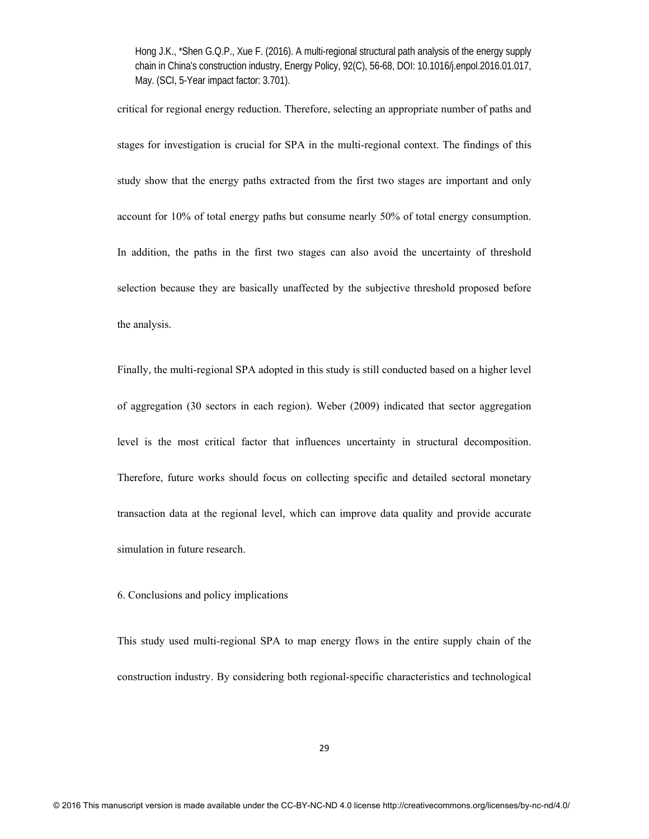critical for regional energy reduction. Therefore, selecting an appropriate number of paths and stages for investigation is crucial for SPA in the multi-regional context. The findings of this study show that the energy paths extracted from the first two stages are important and only account for 10% of total energy paths but consume nearly 50% of total energy consumption. In addition, the paths in the first two stages can also avoid the uncertainty of threshold selection because they are basically unaffected by the subjective threshold proposed before the analysis.

Finally, the multi-regional SPA adopted in this study is still conducted based on a higher level of aggregation (30 sectors in each region). Weber (2009) indicated that sector aggregation level is the most critical factor that influences uncertainty in structural decomposition. Therefore, future works should focus on collecting specific and detailed sectoral monetary transaction data at the regional level, which can improve data quality and provide accurate simulation in future research.

6. Conclusions and policy implications

This study used multi-regional SPA to map energy flows in the entire supply chain of the construction industry. By considering both regional-specific characteristics and technological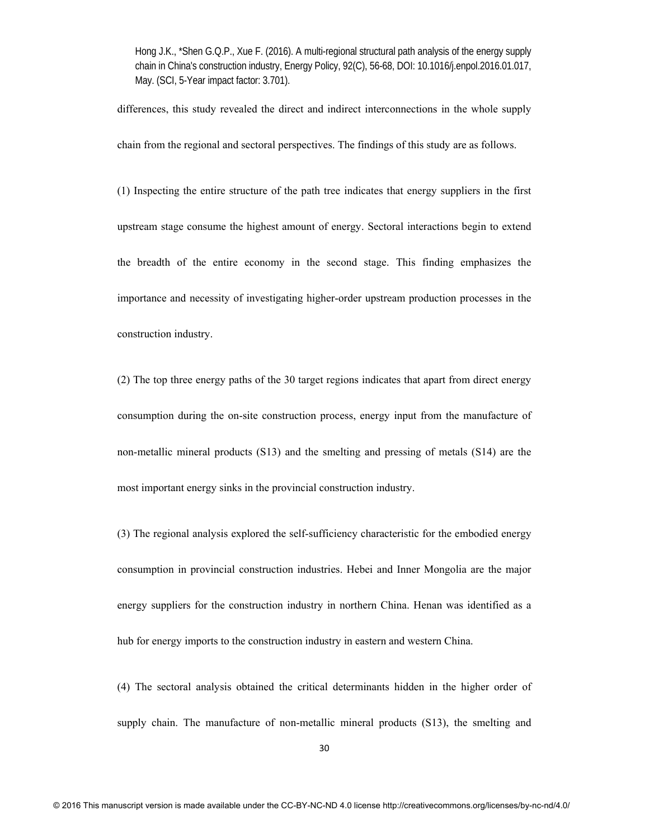differences, this study revealed the direct and indirect interconnections in the whole supply chain from the regional and sectoral perspectives. The findings of this study are as follows.

(1) Inspecting the entire structure of the path tree indicates that energy suppliers in the first upstream stage consume the highest amount of energy. Sectoral interactions begin to extend the breadth of the entire economy in the second stage. This finding emphasizes the importance and necessity of investigating higher-order upstream production processes in the construction industry.

(2) The top three energy paths of the 30 target regions indicates that apart from direct energy consumption during the on-site construction process, energy input from the manufacture of non-metallic mineral products (S13) and the smelting and pressing of metals (S14) are the most important energy sinks in the provincial construction industry.

(3) The regional analysis explored the self-sufficiency characteristic for the embodied energy consumption in provincial construction industries. Hebei and Inner Mongolia are the major energy suppliers for the construction industry in northern China. Henan was identified as a hub for energy imports to the construction industry in eastern and western China.

(4) The sectoral analysis obtained the critical determinants hidden in the higher order of supply chain. The manufacture of non-metallic mineral products (S13), the smelting and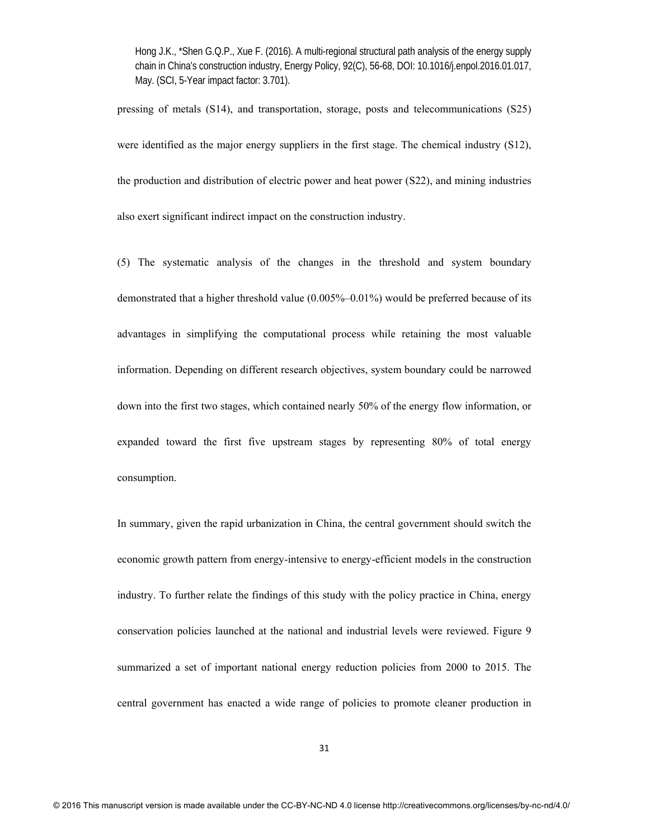pressing of metals (S14), and transportation, storage, posts and telecommunications (S25) were identified as the major energy suppliers in the first stage. The chemical industry (S12), the production and distribution of electric power and heat power (S22), and mining industries also exert significant indirect impact on the construction industry.

(5) The systematic analysis of the changes in the threshold and system boundary demonstrated that a higher threshold value (0.005%–0.01%) would be preferred because of its advantages in simplifying the computational process while retaining the most valuable information. Depending on different research objectives, system boundary could be narrowed down into the first two stages, which contained nearly 50% of the energy flow information, or expanded toward the first five upstream stages by representing 80% of total energy consumption.

In summary, given the rapid urbanization in China, the central government should switch the economic growth pattern from energy-intensive to energy-efficient models in the construction industry. To further relate the findings of this study with the policy practice in China, energy conservation policies launched at the national and industrial levels were reviewed. Figure 9 summarized a set of important national energy reduction policies from 2000 to 2015. The central government has enacted a wide range of policies to promote cleaner production in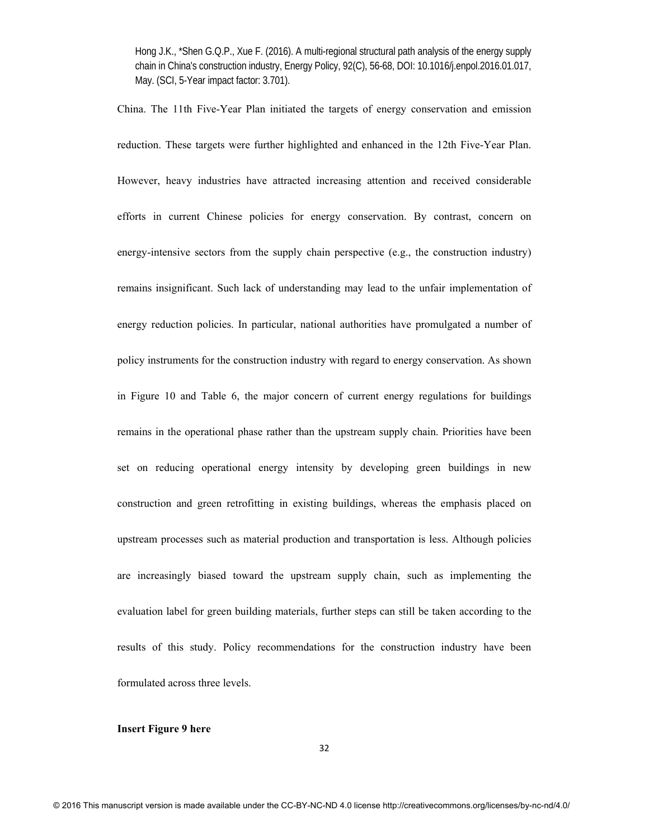China. The 11th Five-Year Plan initiated the targets of energy conservation and emission reduction. These targets were further highlighted and enhanced in the 12th Five-Year Plan. However, heavy industries have attracted increasing attention and received considerable efforts in current Chinese policies for energy conservation. By contrast, concern on energy-intensive sectors from the supply chain perspective  $(e.g., the construction industry)$ remains insignificant. Such lack of understanding may lead to the unfair implementation of energy reduction policies. In particular, national authorities have promulgated a number of policy instruments for the construction industry with regard to energy conservation. As shown in Figure 10 and Table 6, the major concern of current energy regulations for buildings remains in the operational phase rather than the upstream supply chain. Priorities have been set on reducing operational energy intensity by developing green buildings in new construction and green retrofitting in existing buildings, whereas the emphasis placed on upstream processes such as material production and transportation is less. Although policies are increasingly biased toward the upstream supply chain, such as implementing the evaluation label for green building materials, further steps can still be taken according to the results of this study. Policy recommendations for the construction industry have been formulated across three levels.

# **Insert Figure 9 here**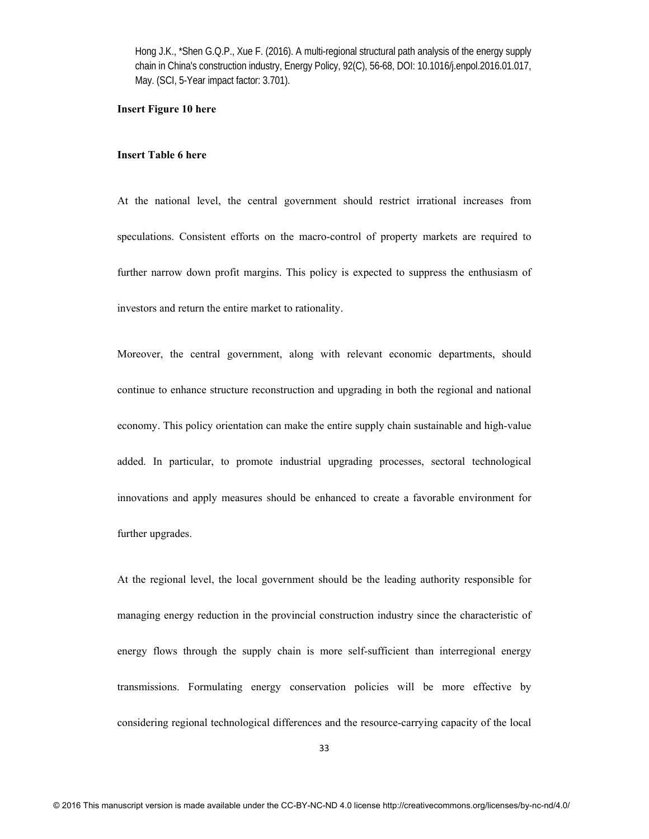### **Insert Figure 10 here**

### **Insert Table 6 here**

At the national level, the central government should restrict irrational increases from speculations. Consistent efforts on the macro-control of property markets are required to further narrow down profit margins. This policy is expected to suppress the enthusiasm of investors and return the entire market to rationality.

Moreover, the central government, along with relevant economic departments, should continue to enhance structure reconstruction and upgrading in both the regional and national economy. This policy orientation can make the entire supply chain sustainable and high-value added. In particular, to promote industrial upgrading processes, sectoral technological innovations and apply measures should be enhanced to create a favorable environment for further upgrades.

At the regional level, the local government should be the leading authority responsible for managing energy reduction in the provincial construction industry since the characteristic of energy flows through the supply chain is more self-sufficient than interregional energy transmissions. Formulating energy conservation policies will be more effective by considering regional technological differences and the resource-carrying capacity of the local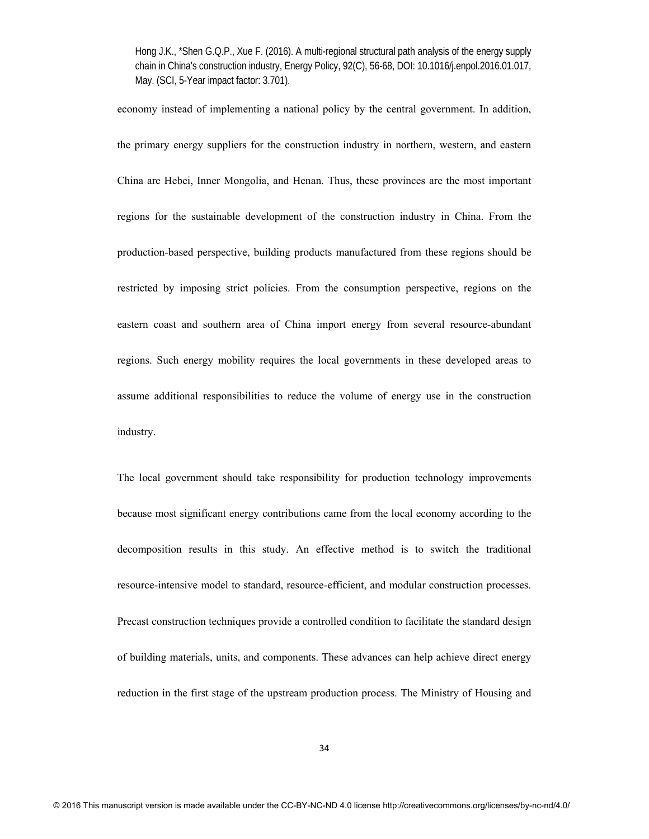economy instead of implementing a national policy by the central government. In addition, the primary energy suppliers for the construction industry in northern, western, and eastern China are Hebei, Inner Mongolia, and Henan. Thus, these provinces are the most important regions for the sustainable development of the construction industry in China. From the production-based perspective, building products manufactured from these regions should be restricted by imposing strict policies. From the consumption perspective, regions on the eastern coast and southern area of China import energy from several resource-abundant regions. Such energy mobility requires the local governments in these developed areas to assume additional responsibilities to reduce the volume of energy use in the construction industry.

The local government should take responsibility for production technology improvements because most significant energy contributions came from the local economy according to the decomposition results in this study. An effective method is to switch the traditional resource-intensive model to standard, resource-efficient, and modular construction processes. Precast construction techniques provide a controlled condition to facilitate the standard design of building materials, units, and components. These advances can help achieve direct energy reduction in the first stage of the upstream production process. The Ministry of Housing and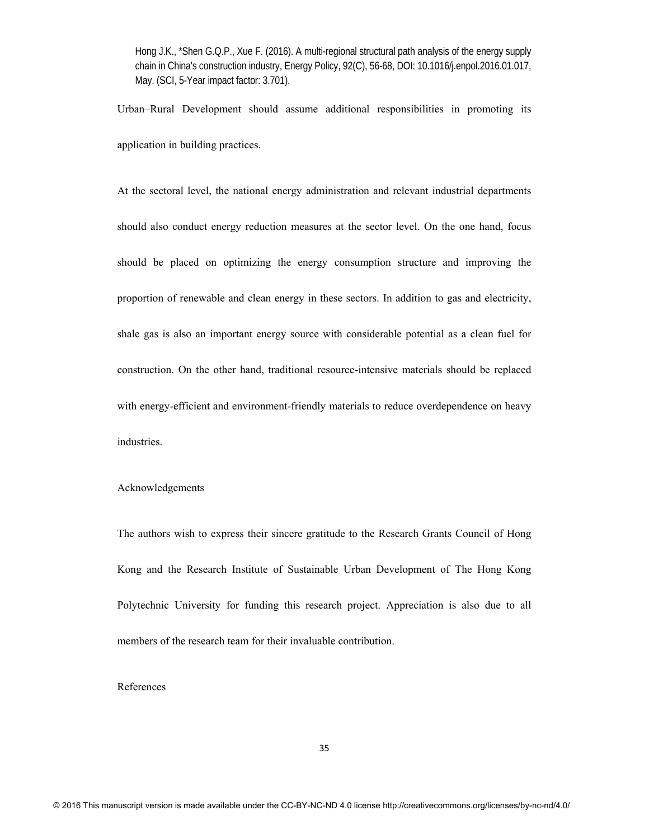Urban–Rural Development should assume additional responsibilities in promoting its application in building practices.

At the sectoral level, the national energy administration and relevant industrial departments should also conduct energy reduction measures at the sector level. On the one hand, focus should be placed on optimizing the energy consumption structure and improving the proportion of renewable and clean energy in these sectors. In addition to gas and electricity, shale gas is also an important energy source with considerable potential as a clean fuel for construction. On the other hand, traditional resource-intensive materials should be replaced with energy-efficient and environment-friendly materials to reduce overdependence on heavy industries.

### Acknowledgements

The authors wish to express their sincere gratitude to the Research Grants Council of Hong Kong and the Research Institute of Sustainable Urban Development of The Hong Kong Polytechnic University for funding this research project. Appreciation is also due to all members of the research team for their invaluable contribution.

## References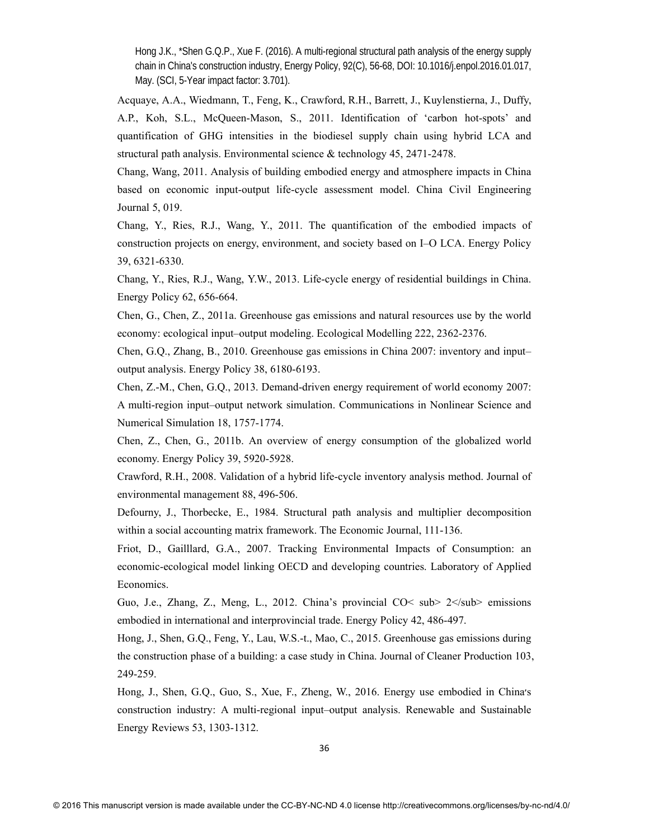Acquaye, A.A., Wiedmann, T., Feng, K., Crawford, R.H., Barrett, J., Kuylenstierna, J., Duffy, A.P., Koh, S.L., McQueen-Mason, S., 2011. Identification of 'carbon hot-spots' and quantification of GHG intensities in the biodiesel supply chain using hybrid LCA and structural path analysis. Environmental science & technology 45, 2471-2478.

Chang, Wang, 2011. Analysis of building embodied energy and atmosphere impacts in China based on economic input-output life-cycle assessment model. China Civil Engineering Journal 5, 019.

Chang, Y., Ries, R.J., Wang, Y., 2011. The quantification of the embodied impacts of construction projects on energy, environment, and society based on I–O LCA. Energy Policy 39, 6321-6330.

Chang, Y., Ries, R.J., Wang, Y.W., 2013. Life-cycle energy of residential buildings in China. Energy Policy 62, 656-664.

Chen, G., Chen, Z., 2011a. Greenhouse gas emissions and natural resources use by the world economy: ecological input–output modeling. Ecological Modelling 222, 2362-2376.

Chen, G.Q., Zhang, B., 2010. Greenhouse gas emissions in China 2007: inventory and input– output analysis. Energy Policy 38, 6180-6193.

Chen, Z.-M., Chen, G.Q., 2013. Demand-driven energy requirement of world economy 2007: A multi-region input–output network simulation. Communications in Nonlinear Science and Numerical Simulation 18, 1757-1774.

Chen, Z., Chen, G., 2011b. An overview of energy consumption of the globalized world economy. Energy Policy 39, 5920-5928.

Crawford, R.H., 2008. Validation of a hybrid life-cycle inventory analysis method. Journal of environmental management 88, 496-506.

Defourny, J., Thorbecke, E., 1984. Structural path analysis and multiplier decomposition within a social accounting matrix framework. The Economic Journal, 111-136.

Friot, D., Gailllard, G.A., 2007. Tracking Environmental Impacts of Consumption: an economic-ecological model linking OECD and developing countries. Laboratory of Applied Economics.

Guo, J.e., Zhang, Z., Meng, L., 2012. China's provincial CO< sub>  $2 <$ /sub> emissions embodied in international and interprovincial trade. Energy Policy 42, 486-497.

Hong, J., Shen, G.Q., Feng, Y., Lau, W.S.-t., Mao, C., 2015. Greenhouse gas emissions during the construction phase of a building: a case study in China. Journal of Cleaner Production 103, 249-259.

Hong, J., Shen, G.Q., Guo, S., Xue, F., Zheng, W., 2016. Energy use embodied in China׳s construction industry: A multi-regional input–output analysis. Renewable and Sustainable Energy Reviews 53, 1303-1312.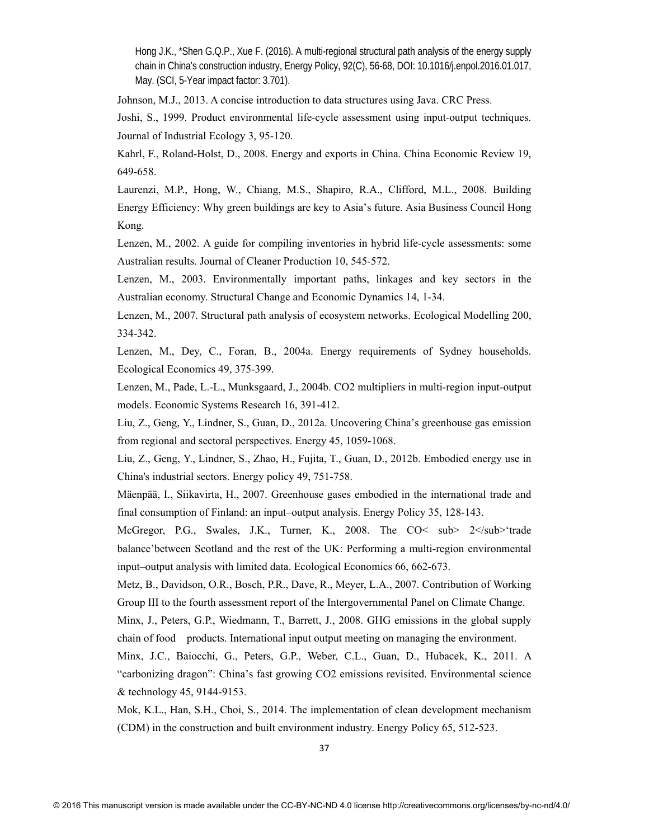Johnson, M.J., 2013. A concise introduction to data structures using Java. CRC Press.

Joshi, S., 1999. Product environmental life‐cycle assessment using input‐output techniques. Journal of Industrial Ecology 3, 95-120.

Kahrl, F., Roland-Holst, D., 2008. Energy and exports in China. China Economic Review 19, 649-658.

Laurenzi, M.P., Hong, W., Chiang, M.S., Shapiro, R.A., Clifford, M.L., 2008. Building Energy Efficiency: Why green buildings are key to Asia's future. Asia Business Council Hong Kong.

Lenzen, M., 2002. A guide for compiling inventories in hybrid life-cycle assessments: some Australian results. Journal of Cleaner Production 10, 545-572.

Lenzen, M., 2003. Environmentally important paths, linkages and key sectors in the Australian economy. Structural Change and Economic Dynamics 14, 1-34.

Lenzen, M., 2007. Structural path analysis of ecosystem networks. Ecological Modelling 200, 334-342.

Lenzen, M., Dey, C., Foran, B., 2004a. Energy requirements of Sydney households. Ecological Economics 49, 375-399.

Lenzen, M., Pade, L.-L., Munksgaard, J., 2004b. CO2 multipliers in multi-region input-output models. Economic Systems Research 16, 391-412.

Liu, Z., Geng, Y., Lindner, S., Guan, D., 2012a. Uncovering China's greenhouse gas emission from regional and sectoral perspectives. Energy 45, 1059-1068.

Liu, Z., Geng, Y., Lindner, S., Zhao, H., Fujita, T., Guan, D., 2012b. Embodied energy use in China's industrial sectors. Energy policy 49, 751-758.

Mäenpää, I., Siikavirta, H., 2007. Greenhouse gases embodied in the international trade and final consumption of Finland: an input–output analysis. Energy Policy 35, 128-143.

McGregor, P.G., Swales, J.K., Turner, K., 2008. The CO< sub> 2</sub>'trade balance'between Scotland and the rest of the UK: Performing a multi-region environmental input–output analysis with limited data. Ecological Economics 66, 662-673.

Metz, B., Davidson, O.R., Bosch, P.R., Dave, R., Meyer, L.A., 2007. Contribution of Working Group III to the fourth assessment report of the Intergovernmental Panel on Climate Change.

Minx, J., Peters, G.P., Wiedmann, T., Barrett, J., 2008. GHG emissions in the global supply chain of food products. International input output meeting on managing the environment.

Minx, J.C., Baiocchi, G., Peters, G.P., Weber, C.L., Guan, D., Hubacek, K., 2011. A "carbonizing dragon": China's fast growing CO2 emissions revisited. Environmental science & technology 45, 9144-9153.

Mok, K.L., Han, S.H., Choi, S., 2014. The implementation of clean development mechanism (CDM) in the construction and built environment industry. Energy Policy 65, 512-523.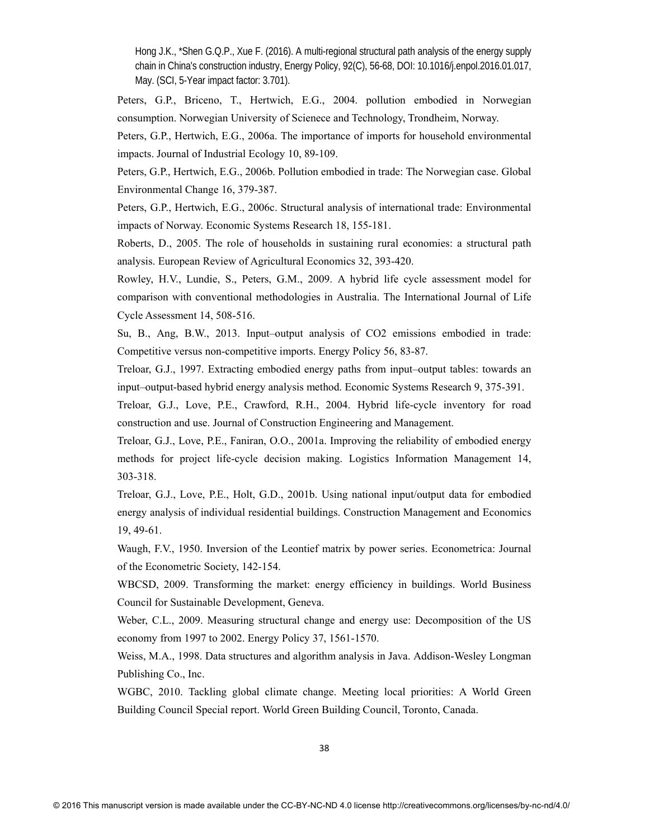Peters, G.P., Briceno, T., Hertwich, E.G., 2004. pollution embodied in Norwegian consumption. Norwegian University of Scienece and Technology, Trondheim, Norway.

Peters, G.P., Hertwich, E.G., 2006a. The importance of imports for household environmental impacts. Journal of Industrial Ecology 10, 89-109.

Peters, G.P., Hertwich, E.G., 2006b. Pollution embodied in trade: The Norwegian case. Global Environmental Change 16, 379-387.

Peters, G.P., Hertwich, E.G., 2006c. Structural analysis of international trade: Environmental impacts of Norway. Economic Systems Research 18, 155-181.

Roberts, D., 2005. The role of households in sustaining rural economies: a structural path analysis. European Review of Agricultural Economics 32, 393-420.

Rowley, H.V., Lundie, S., Peters, G.M., 2009. A hybrid life cycle assessment model for comparison with conventional methodologies in Australia. The International Journal of Life Cycle Assessment 14, 508-516.

Su, B., Ang, B.W., 2013. Input–output analysis of CO2 emissions embodied in trade: Competitive versus non-competitive imports. Energy Policy 56, 83-87.

Treloar, G.J., 1997. Extracting embodied energy paths from input–output tables: towards an input–output-based hybrid energy analysis method. Economic Systems Research 9, 375-391.

Treloar, G.J., Love, P.E., Crawford, R.H., 2004. Hybrid life-cycle inventory for road construction and use. Journal of Construction Engineering and Management.

Treloar, G.J., Love, P.E., Faniran, O.O., 2001a. Improving the reliability of embodied energy methods for project life-cycle decision making. Logistics Information Management 14, 303-318.

Treloar, G.J., Love, P.E., Holt, G.D., 2001b. Using national input/output data for embodied energy analysis of individual residential buildings. Construction Management and Economics 19, 49-61.

Waugh, F.V., 1950. Inversion of the Leontief matrix by power series. Econometrica: Journal of the Econometric Society, 142-154.

WBCSD, 2009. Transforming the market: energy efficiency in buildings. World Business Council for Sustainable Development, Geneva.

Weber, C.L., 2009. Measuring structural change and energy use: Decomposition of the US economy from 1997 to 2002. Energy Policy 37, 1561-1570.

Weiss, M.A., 1998. Data structures and algorithm analysis in Java. Addison-Wesley Longman Publishing Co., Inc.

WGBC, 2010. Tackling global climate change. Meeting local priorities: A World Green Building Council Special report. World Green Building Council, Toronto, Canada.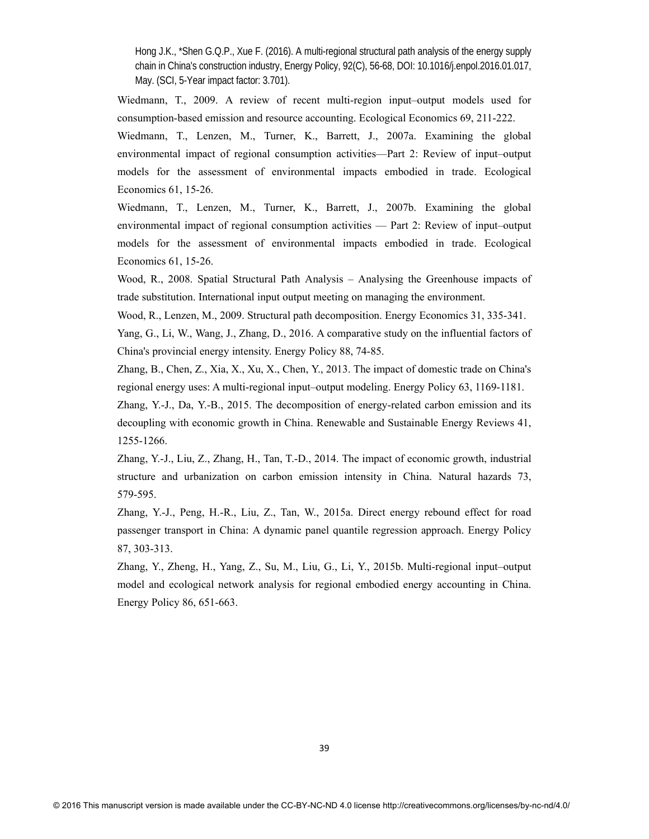Wiedmann, T., 2009. A review of recent multi-region input–output models used for consumption-based emission and resource accounting. Ecological Economics 69, 211-222.

Wiedmann, T., Lenzen, M., Turner, K., Barrett, J., 2007a. Examining the global environmental impact of regional consumption activities—Part 2: Review of input–output models for the assessment of environmental impacts embodied in trade. Ecological Economics 61, 15-26.

Wiedmann, T., Lenzen, M., Turner, K., Barrett, J., 2007b. Examining the global environmental impact of regional consumption activities — Part 2: Review of input–output models for the assessment of environmental impacts embodied in trade. Ecological Economics 61, 15-26.

Wood, R., 2008. Spatial Structural Path Analysis – Analysing the Greenhouse impacts of trade substitution. International input output meeting on managing the environment.

Wood, R., Lenzen, M., 2009. Structural path decomposition. Energy Economics 31, 335-341.

Yang, G., Li, W., Wang, J., Zhang, D., 2016. A comparative study on the influential factors of China's provincial energy intensity. Energy Policy 88, 74-85.

Zhang, B., Chen, Z., Xia, X., Xu, X., Chen, Y., 2013. The impact of domestic trade on China's regional energy uses: A multi-regional input–output modeling. Energy Policy 63, 1169-1181.

Zhang, Y.-J., Da, Y.-B., 2015. The decomposition of energy-related carbon emission and its decoupling with economic growth in China. Renewable and Sustainable Energy Reviews 41, 1255-1266.

Zhang, Y.-J., Liu, Z., Zhang, H., Tan, T.-D., 2014. The impact of economic growth, industrial structure and urbanization on carbon emission intensity in China. Natural hazards 73, 579-595.

Zhang, Y.-J., Peng, H.-R., Liu, Z., Tan, W., 2015a. Direct energy rebound effect for road passenger transport in China: A dynamic panel quantile regression approach. Energy Policy 87, 303-313.

Zhang, Y., Zheng, H., Yang, Z., Su, M., Liu, G., Li, Y., 2015b. Multi-regional input–output model and ecological network analysis for regional embodied energy accounting in China. Energy Policy 86, 651-663.